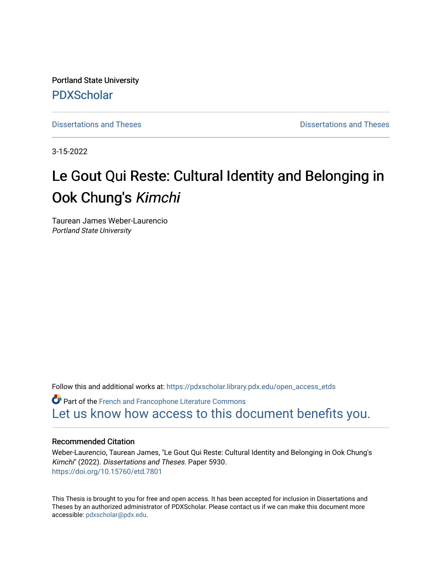Portland State University [PDXScholar](https://pdxscholar.library.pdx.edu/)

[Dissertations and Theses](https://pdxscholar.library.pdx.edu/open_access_etds) **Dissertations** and Theses **Dissertations and Theses** 

3-15-2022

# Le Gout Qui Reste: Cultural Identity and Belonging in Ook Chung's Kimchi

Taurean James Weber-Laurencio Portland State University

Follow this and additional works at: [https://pdxscholar.library.pdx.edu/open\\_access\\_etds](https://pdxscholar.library.pdx.edu/open_access_etds?utm_source=pdxscholar.library.pdx.edu%2Fopen_access_etds%2F5930&utm_medium=PDF&utm_campaign=PDFCoverPages)

**C** Part of the French and Francophone Literature Commons [Let us know how access to this document benefits you.](http://library.pdx.edu/services/pdxscholar-services/pdxscholar-feedback/) 

## Recommended Citation

Weber-Laurencio, Taurean James, "Le Gout Qui Reste: Cultural Identity and Belonging in Ook Chung's Kimchi" (2022). Dissertations and Theses. Paper 5930. <https://doi.org/10.15760/etd.7801>

This Thesis is brought to you for free and open access. It has been accepted for inclusion in Dissertations and Theses by an authorized administrator of PDXScholar. Please contact us if we can make this document more accessible: [pdxscholar@pdx.edu.](mailto:pdxscholar@pdx.edu)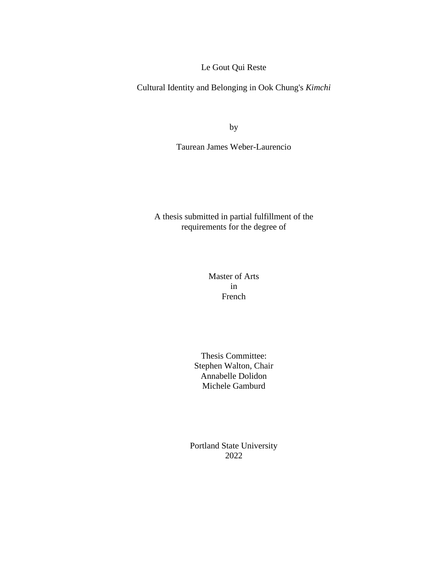Le Gout Qui Reste

Cultural Identity and Belonging in Ook Chung's *Kimchi*

by

Taurean James Weber-Laurencio

A thesis submitted in partial fulfillment of the requirements for the degree of

> Master of Arts in French

Thesis Committee: Stephen Walton, Chair Annabelle Dolidon Michele Gamburd

Portland State University 2022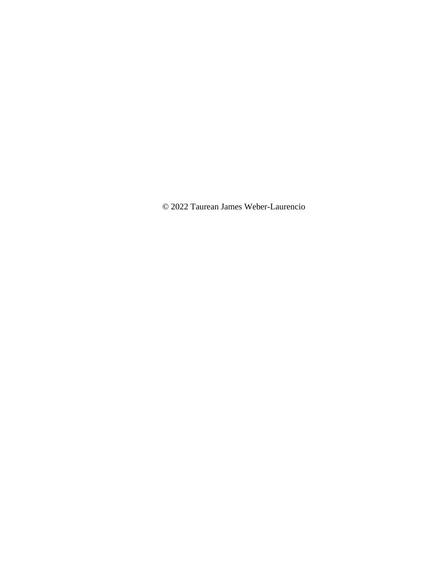© 2022 Taurean James Weber-Laurencio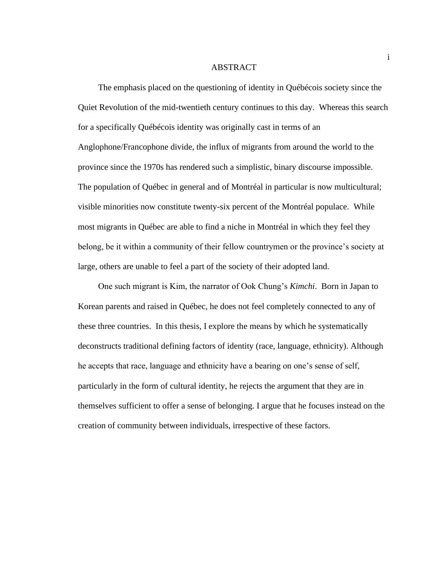#### ABSTRACT

The emphasis placed on the questioning of identity in Québécois society since the Quiet Revolution of the mid-twentieth century continues to this day. Whereas this search for a specifically Québécois identity was originally cast in terms of an Anglophone/Francophone divide, the influx of migrants from around the world to the province since the 1970s has rendered such a simplistic, binary discourse impossible. The population of Québec in general and of Montréal in particular is now multicultural; visible minorities now constitute twenty-six percent of the Montréal populace. While most migrants in Québec are able to find a niche in Montréal in which they feel they belong, be it within a community of their fellow countrymen or the province's society at large, others are unable to feel a part of the society of their adopted land.

One such migrant is Kim, the narrator of Ook Chung's *Kimchi*. Born in Japan to Korean parents and raised in Québec, he does not feel completely connected to any of these three countries. In this thesis, I explore the means by which he systematically deconstructs traditional defining factors of identity (race, language, ethnicity). Although he accepts that race, language and ethnicity have a bearing on one's sense of self, particularly in the form of cultural identity, he rejects the argument that they are in themselves sufficient to offer a sense of belonging. I argue that he focuses instead on the creation of community between individuals, irrespective of these factors.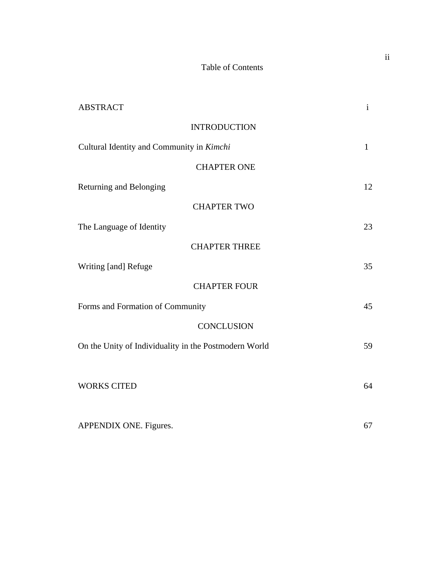# Table of Contents

| <b>ABSTRACT</b>                                       | $\mathbf{i}$ |
|-------------------------------------------------------|--------------|
| <b>INTRODUCTION</b>                                   |              |
| Cultural Identity and Community in Kimchi             | $\mathbf{1}$ |
| <b>CHAPTER ONE</b>                                    |              |
| Returning and Belonging                               | 12           |
| <b>CHAPTER TWO</b>                                    |              |
| The Language of Identity                              | 23           |
| <b>CHAPTER THREE</b>                                  |              |
| Writing [and] Refuge                                  | 35           |
| <b>CHAPTER FOUR</b>                                   |              |
| Forms and Formation of Community                      | 45           |
| <b>CONCLUSION</b>                                     |              |
| On the Unity of Individuality in the Postmodern World | 59           |
|                                                       |              |
| <b>WORKS CITED</b>                                    | 64           |
|                                                       |              |
| APPENDIX ONE. Figures.                                | 67           |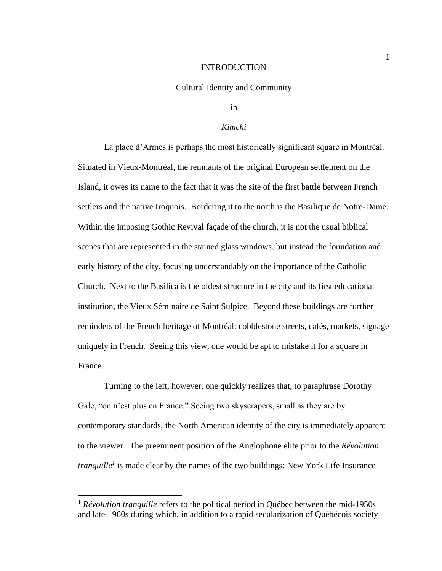### INTRODUCTION

#### Cultural Identity and Community

in

#### *Kimchi*

La place d'Armes is perhaps the most historically significant square in Montréal. Situated in Vieux-Montréal, the remnants of the original European settlement on the Island, it owes its name to the fact that it was the site of the first battle between French settlers and the native Iroquois. Bordering it to the north is the Basilique de Notre-Dame. Within the imposing Gothic Revival façade of the church, it is not the usual biblical scenes that are represented in the stained glass windows, but instead the foundation and early history of the city, focusing understandably on the importance of the Catholic Church. Next to the Basilica is the oldest structure in the city and its first educational institution, the Vieux Séminaire de Saint Sulpice. Beyond these buildings are further reminders of the French heritage of Montréal: cobblestone streets, cafés, markets, signage uniquely in French. Seeing this view, one would be apt to mistake it for a square in France.

Turning to the left, however, one quickly realizes that, to paraphrase Dorothy Gale, "on n'est plus en France." Seeing two skyscrapers, small as they are by contemporary standards, the North American identity of the city is immediately apparent to the viewer. The preeminent position of the Anglophone elite prior to the *Révolution tranquille<sup>1</sup>* is made clear by the names of the two buildings: New York Life Insurance

<sup>&</sup>lt;sup>1</sup> *Révolution tranquille* refers to the political period in Québec between the mid-1950s and late-1960s during which, in addition to a rapid secularization of Québécois society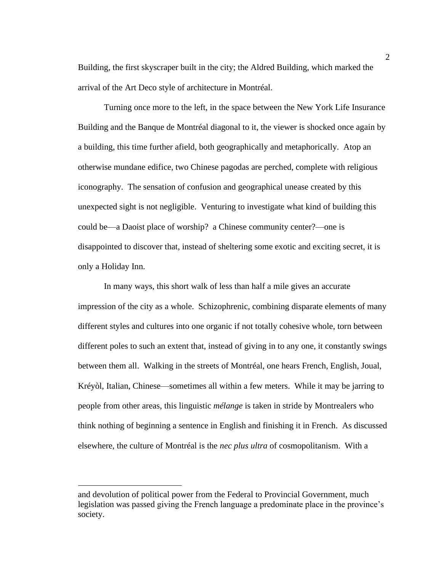Building, the first skyscraper built in the city; the Aldred Building, which marked the arrival of the Art Deco style of architecture in Montréal.

Turning once more to the left, in the space between the New York Life Insurance Building and the Banque de Montréal diagonal to it, the viewer is shocked once again by a building, this time further afield, both geographically and metaphorically. Atop an otherwise mundane edifice, two Chinese pagodas are perched, complete with religious iconography. The sensation of confusion and geographical unease created by this unexpected sight is not negligible. Venturing to investigate what kind of building this could be—a Daoist place of worship? a Chinese community center?—one is disappointed to discover that, instead of sheltering some exotic and exciting secret, it is only a Holiday Inn.

In many ways, this short walk of less than half a mile gives an accurate impression of the city as a whole. Schizophrenic, combining disparate elements of many different styles and cultures into one organic if not totally cohesive whole, torn between different poles to such an extent that, instead of giving in to any one, it constantly swings between them all. Walking in the streets of Montréal, one hears French, English, Joual, Kréyòl, Italian, Chinese—sometimes all within a few meters. While it may be jarring to people from other areas, this linguistic *mélange* is taken in stride by Montrealers who think nothing of beginning a sentence in English and finishing it in French. As discussed elsewhere, the culture of Montréal is the *nec plus ultra* of cosmopolitanism. With a

and devolution of political power from the Federal to Provincial Government, much legislation was passed giving the French language a predominate place in the province's society.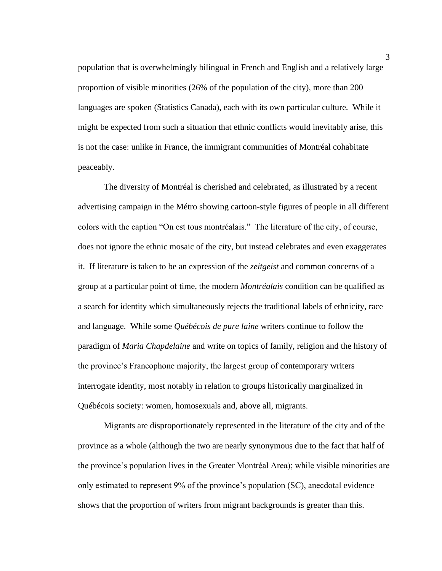population that is overwhelmingly bilingual in French and English and a relatively large proportion of visible minorities (26% of the population of the city), more than 200 languages are spoken (Statistics Canada), each with its own particular culture. While it might be expected from such a situation that ethnic conflicts would inevitably arise, this is not the case: unlike in France, the immigrant communities of Montréal cohabitate peaceably.

The diversity of Montréal is cherished and celebrated, as illustrated by a recent advertising campaign in the Métro showing cartoon-style figures of people in all different colors with the caption "On est tous montréalais." The literature of the city, of course, does not ignore the ethnic mosaic of the city, but instead celebrates and even exaggerates it. If literature is taken to be an expression of the *zeitgeist* and common concerns of a group at a particular point of time, the modern *Montréalais* condition can be qualified as a search for identity which simultaneously rejects the traditional labels of ethnicity, race and language. While some *Québécois de pure laine* writers continue to follow the paradigm of *Maria Chapdelaine* and write on topics of family, religion and the history of the province's Francophone majority, the largest group of contemporary writers interrogate identity, most notably in relation to groups historically marginalized in Québécois society: women, homosexuals and, above all, migrants.

Migrants are disproportionately represented in the literature of the city and of the province as a whole (although the two are nearly synonymous due to the fact that half of the province's population lives in the Greater Montréal Area); while visible minorities are only estimated to represent 9% of the province's population (SC), anecdotal evidence shows that the proportion of writers from migrant backgrounds is greater than this.

3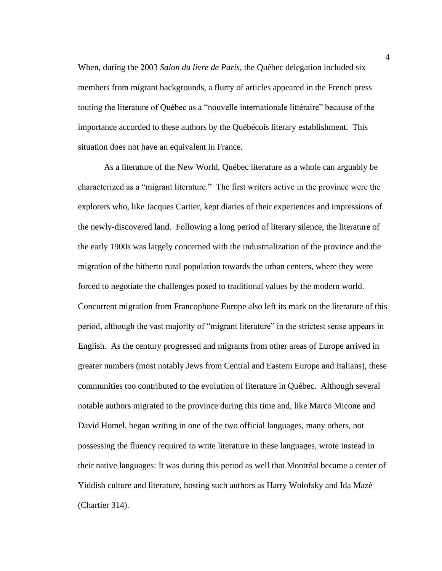When, during the 2003 *Salon du livre de Paris*, the Québec delegation included six members from migrant backgrounds, a flurry of articles appeared in the French press touting the literature of Québec as a "nouvelle internationale littéraire" because of the importance accorded to these authors by the Québécois literary establishment. This situation does not have an equivalent in France.

As a literature of the New World, Québec literature as a whole can arguably be characterized as a "migrant literature." The first writers active in the province were the explorers who, like Jacques Cartier, kept diaries of their experiences and impressions of the newly-discovered land. Following a long period of literary silence, the literature of the early 1900s was largely concerned with the industrialization of the province and the migration of the hitherto rural population towards the urban centers, where they were forced to negotiate the challenges posed to traditional values by the modern world. Concurrent migration from Francophone Europe also left its mark on the literature of this period, although the vast majority of "migrant literature" in the strictest sense appears in English. As the century progressed and migrants from other areas of Europe arrived in greater numbers (most notably Jews from Central and Eastern Europe and Italians), these communities too contributed to the evolution of literature in Québec. Although several notable authors migrated to the province during this time and, like Marco Micone and David Homel, began writing in one of the two official languages, many others, not possessing the fluency required to write literature in these languages, wrote instead in their native languages: It was during this period as well that Montréal became a center of Yiddish culture and literature, hosting such authors as Harry Wolofsky and Ida Mazè (Chartier 314).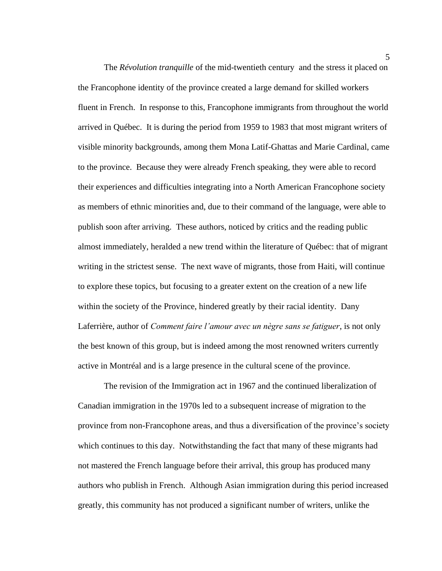The *Révolution tranquille* of the mid-twentieth century and the stress it placed on the Francophone identity of the province created a large demand for skilled workers fluent in French. In response to this, Francophone immigrants from throughout the world arrived in Québec. It is during the period from 1959 to 1983 that most migrant writers of visible minority backgrounds, among them Mona Latif-Ghattas and Marie Cardinal, came to the province. Because they were already French speaking, they were able to record their experiences and difficulties integrating into a North American Francophone society as members of ethnic minorities and, due to their command of the language, were able to publish soon after arriving. These authors, noticed by critics and the reading public almost immediately, heralded a new trend within the literature of Québec: that of migrant writing in the strictest sense. The next wave of migrants, those from Haiti, will continue to explore these topics, but focusing to a greater extent on the creation of a new life within the society of the Province, hindered greatly by their racial identity. Dany Laferrière, author of *Comment faire l'amour avec un nègre sans se fatiguer*, is not only the best known of this group, but is indeed among the most renowned writers currently active in Montréal and is a large presence in the cultural scene of the province.

The revision of the Immigration act in 1967 and the continued liberalization of Canadian immigration in the 1970s led to a subsequent increase of migration to the province from non-Francophone areas, and thus a diversification of the province's society which continues to this day. Notwithstanding the fact that many of these migrants had not mastered the French language before their arrival, this group has produced many authors who publish in French. Although Asian immigration during this period increased greatly, this community has not produced a significant number of writers, unlike the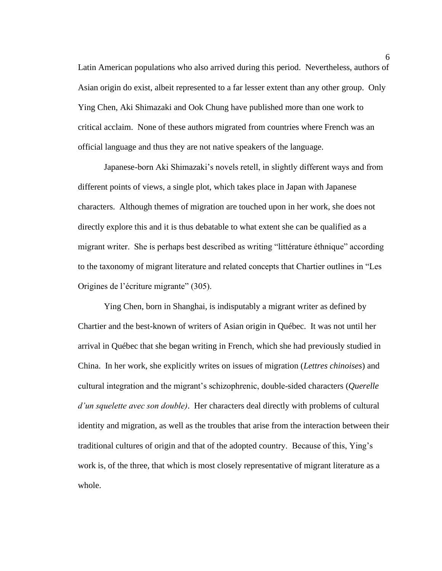Latin American populations who also arrived during this period. Nevertheless, authors of Asian origin do exist, albeit represented to a far lesser extent than any other group. Only Ying Chen, Aki Shimazaki and Ook Chung have published more than one work to critical acclaim. None of these authors migrated from countries where French was an official language and thus they are not native speakers of the language.

Japanese-born Aki Shimazaki's novels retell, in slightly different ways and from different points of views, a single plot, which takes place in Japan with Japanese characters. Although themes of migration are touched upon in her work, she does not directly explore this and it is thus debatable to what extent she can be qualified as a migrant writer. She is perhaps best described as writing "littérature éthnique" according to the taxonomy of migrant literature and related concepts that Chartier outlines in "Les Origines de l'écriture migrante" (305).

Ying Chen, born in Shanghai, is indisputably a migrant writer as defined by Chartier and the best-known of writers of Asian origin in Québec. It was not until her arrival in Québec that she began writing in French, which she had previously studied in China. In her work, she explicitly writes on issues of migration (*Lettres chinoises*) and cultural integration and the migrant's schizophrenic, double-sided characters (*Querelle d'un squelette avec son double)*. Her characters deal directly with problems of cultural identity and migration, as well as the troubles that arise from the interaction between their traditional cultures of origin and that of the adopted country. Because of this, Ying's work is, of the three, that which is most closely representative of migrant literature as a whole.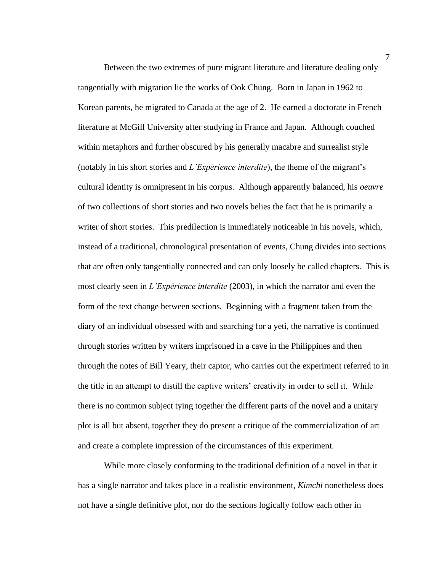Between the two extremes of pure migrant literature and literature dealing only tangentially with migration lie the works of Ook Chung. Born in Japan in 1962 to Korean parents, he migrated to Canada at the age of 2. He earned a doctorate in French literature at McGill University after studying in France and Japan. Although couched within metaphors and further obscured by his generally macabre and surrealist style (notably in his short stories and *L'Expérience interdite*), the theme of the migrant's cultural identity is omnipresent in his corpus. Although apparently balanced, his *oeuvre* of two collections of short stories and two novels belies the fact that he is primarily a writer of short stories. This predilection is immediately noticeable in his novels, which, instead of a traditional, chronological presentation of events, Chung divides into sections that are often only tangentially connected and can only loosely be called chapters. This is most clearly seen in *L'Expérience interdite* (2003), in which the narrator and even the form of the text change between sections. Beginning with a fragment taken from the diary of an individual obsessed with and searching for a yeti, the narrative is continued through stories written by writers imprisoned in a cave in the Philippines and then through the notes of Bill Yeary, their captor, who carries out the experiment referred to in the title in an attempt to distill the captive writers' creativity in order to sell it. While there is no common subject tying together the different parts of the novel and a unitary plot is all but absent, together they do present a critique of the commercialization of art and create a complete impression of the circumstances of this experiment.

While more closely conforming to the traditional definition of a novel in that it has a single narrator and takes place in a realistic environment, *Kimchi* nonetheless does not have a single definitive plot, nor do the sections logically follow each other in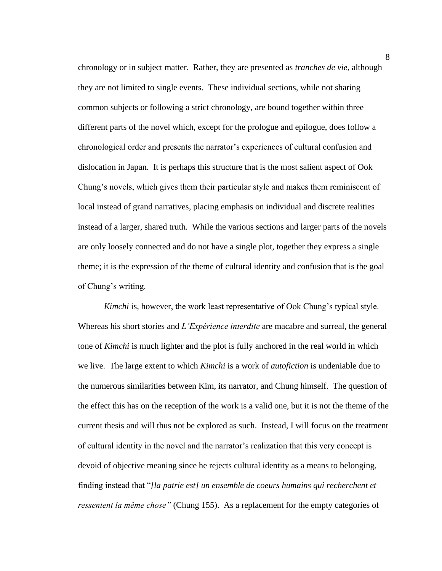chronology or in subject matter. Rather, they are presented as *tranches de vie*, although they are not limited to single events. These individual sections, while not sharing common subjects or following a strict chronology, are bound together within three different parts of the novel which, except for the prologue and epilogue, does follow a chronological order and presents the narrator's experiences of cultural confusion and dislocation in Japan. It is perhaps this structure that is the most salient aspect of Ook Chung's novels, which gives them their particular style and makes them reminiscent of local instead of grand narratives, placing emphasis on individual and discrete realities instead of a larger, shared truth. While the various sections and larger parts of the novels are only loosely connected and do not have a single plot, together they express a single theme; it is the expression of the theme of cultural identity and confusion that is the goal of Chung's writing.

*Kimchi* is, however, the work least representative of Ook Chung's typical style. Whereas his short stories and *L'Expérience interdite* are macabre and surreal, the general tone of *Kimchi* is much lighter and the plot is fully anchored in the real world in which we live. The large extent to which *Kimchi* is a work of *autofiction* is undeniable due to the numerous similarities between Kim, its narrator, and Chung himself. The question of the effect this has on the reception of the work is a valid one, but it is not the theme of the current thesis and will thus not be explored as such. Instead, I will focus on the treatment of cultural identity in the novel and the narrator's realization that this very concept is devoid of objective meaning since he rejects cultural identity as a means to belonging, finding instead that "*[la patrie est] un ensemble de coeurs humains qui recherchent et ressentent la même chose"* (Chung 155). As a replacement for the empty categories of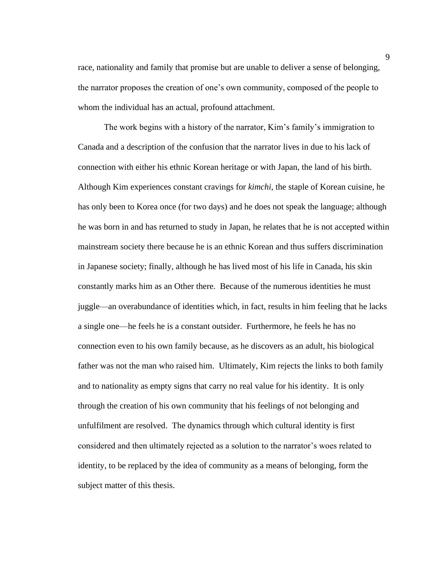race, nationality and family that promise but are unable to deliver a sense of belonging, the narrator proposes the creation of one's own community, composed of the people to whom the individual has an actual, profound attachment.

The work begins with a history of the narrator, Kim's family's immigration to Canada and a description of the confusion that the narrator lives in due to his lack of connection with either his ethnic Korean heritage or with Japan, the land of his birth. Although Kim experiences constant cravings for *kimchi*, the staple of Korean cuisine, he has only been to Korea once (for two days) and he does not speak the language; although he was born in and has returned to study in Japan, he relates that he is not accepted within mainstream society there because he is an ethnic Korean and thus suffers discrimination in Japanese society; finally, although he has lived most of his life in Canada, his skin constantly marks him as an Other there*.* Because of the numerous identities he must juggle—an overabundance of identities which, in fact, results in him feeling that he lacks a single one—he feels he is a constant outsider. Furthermore, he feels he has no connection even to his own family because, as he discovers as an adult, his biological father was not the man who raised him. Ultimately, Kim rejects the links to both family and to nationality as empty signs that carry no real value for his identity. It is only through the creation of his own community that his feelings of not belonging and unfulfilment are resolved. The dynamics through which cultural identity is first considered and then ultimately rejected as a solution to the narrator's woes related to identity, to be replaced by the idea of community as a means of belonging, form the subject matter of this thesis.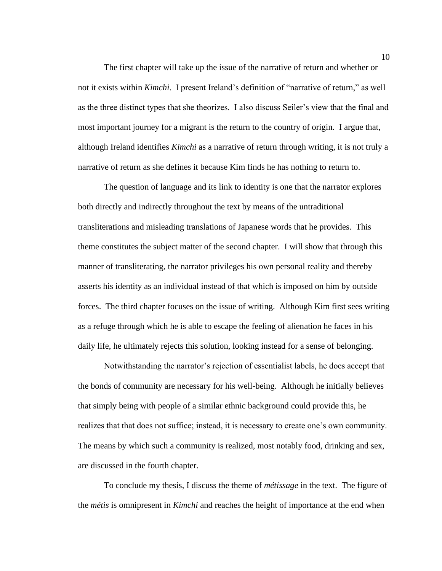The first chapter will take up the issue of the narrative of return and whether or not it exists within *Kimchi*. I present Ireland's definition of "narrative of return," as well as the three distinct types that she theorizes. I also discuss Seiler's view that the final and most important journey for a migrant is the return to the country of origin. I argue that, although Ireland identifies *Kimchi* as a narrative of return through writing, it is not truly a narrative of return as she defines it because Kim finds he has nothing to return to.

The question of language and its link to identity is one that the narrator explores both directly and indirectly throughout the text by means of the untraditional transliterations and misleading translations of Japanese words that he provides. This theme constitutes the subject matter of the second chapter. I will show that through this manner of transliterating, the narrator privileges his own personal reality and thereby asserts his identity as an individual instead of that which is imposed on him by outside forces. The third chapter focuses on the issue of writing. Although Kim first sees writing as a refuge through which he is able to escape the feeling of alienation he faces in his daily life, he ultimately rejects this solution, looking instead for a sense of belonging.

Notwithstanding the narrator's rejection of essentialist labels, he does accept that the bonds of community are necessary for his well-being. Although he initially believes that simply being with people of a similar ethnic background could provide this, he realizes that that does not suffice; instead, it is necessary to create one's own community. The means by which such a community is realized, most notably food, drinking and sex, are discussed in the fourth chapter.

To conclude my thesis, I discuss the theme of *métissage* in the text. The figure of the *métis* is omnipresent in *Kimchi* and reaches the height of importance at the end when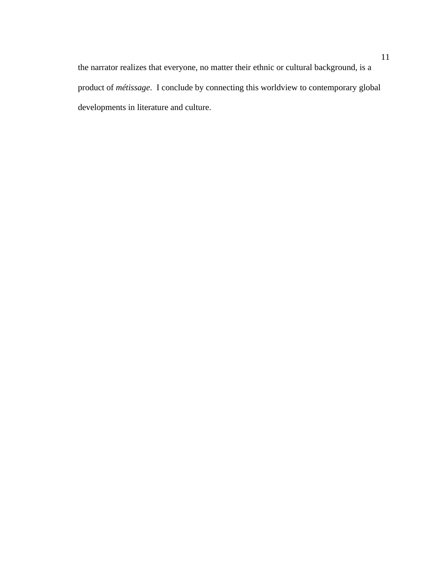the narrator realizes that everyone, no matter their ethnic or cultural background, is a product of *métissage*. I conclude by connecting this worldview to contemporary global developments in literature and culture.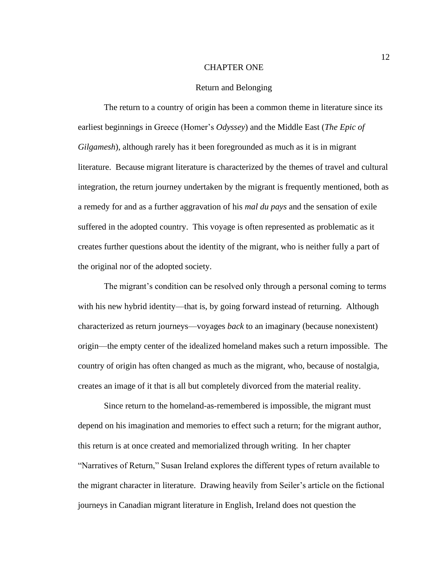#### CHAPTER ONE

#### Return and Belonging

The return to a country of origin has been a common theme in literature since its earliest beginnings in Greece (Homer's *Odyssey*) and the Middle East (*The Epic of Gilgamesh*), although rarely has it been foregrounded as much as it is in migrant literature. Because migrant literature is characterized by the themes of travel and cultural integration, the return journey undertaken by the migrant is frequently mentioned, both as a remedy for and as a further aggravation of his *mal du pays* and the sensation of exile suffered in the adopted country. This voyage is often represented as problematic as it creates further questions about the identity of the migrant, who is neither fully a part of the original nor of the adopted society.

The migrant's condition can be resolved only through a personal coming to terms with his new hybrid identity—that is, by going forward instead of returning. Although characterized as return journeys—voyages *back* to an imaginary (because nonexistent) origin—the empty center of the idealized homeland makes such a return impossible. The country of origin has often changed as much as the migrant, who, because of nostalgia, creates an image of it that is all but completely divorced from the material reality.

Since return to the homeland-as-remembered is impossible, the migrant must depend on his imagination and memories to effect such a return; for the migrant author, this return is at once created and memorialized through writing. In her chapter "Narratives of Return," Susan Ireland explores the different types of return available to the migrant character in literature. Drawing heavily from Seiler's article on the fictional journeys in Canadian migrant literature in English, Ireland does not question the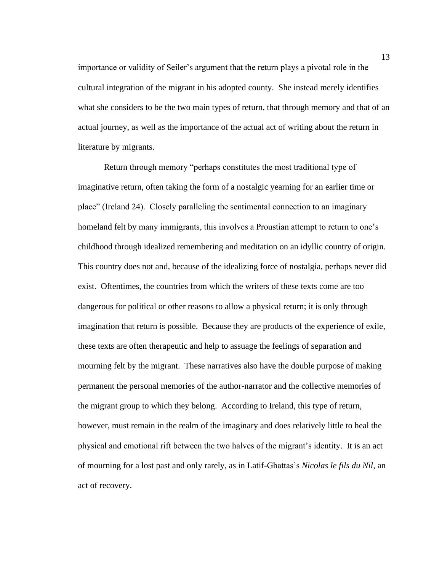importance or validity of Seiler's argument that the return plays a pivotal role in the cultural integration of the migrant in his adopted county. She instead merely identifies what she considers to be the two main types of return, that through memory and that of an actual journey, as well as the importance of the actual act of writing about the return in literature by migrants.

Return through memory "perhaps constitutes the most traditional type of imaginative return, often taking the form of a nostalgic yearning for an earlier time or place" (Ireland 24). Closely paralleling the sentimental connection to an imaginary homeland felt by many immigrants, this involves a Proustian attempt to return to one's childhood through idealized remembering and meditation on an idyllic country of origin. This country does not and, because of the idealizing force of nostalgia, perhaps never did exist. Oftentimes, the countries from which the writers of these texts come are too dangerous for political or other reasons to allow a physical return; it is only through imagination that return is possible. Because they are products of the experience of exile, these texts are often therapeutic and help to assuage the feelings of separation and mourning felt by the migrant. These narratives also have the double purpose of making permanent the personal memories of the author-narrator and the collective memories of the migrant group to which they belong. According to Ireland, this type of return, however, must remain in the realm of the imaginary and does relatively little to heal the physical and emotional rift between the two halves of the migrant's identity. It is an act of mourning for a lost past and only rarely, as in Latif-Ghattas's *Nicolas le fils du Nil*, an act of recovery.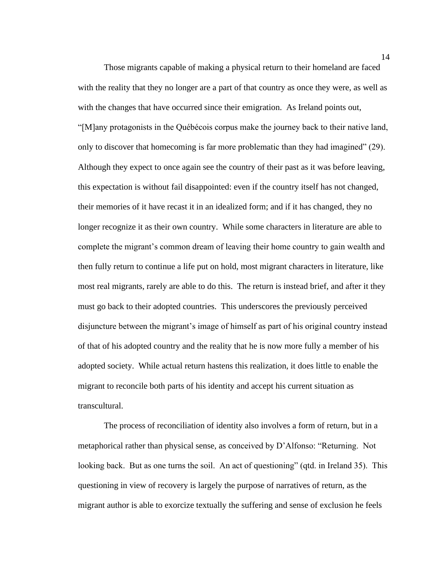Those migrants capable of making a physical return to their homeland are faced with the reality that they no longer are a part of that country as once they were, as well as with the changes that have occurred since their emigration. As Ireland points out, "[M]any protagonists in the Québécois corpus make the journey back to their native land, only to discover that homecoming is far more problematic than they had imagined" (29). Although they expect to once again see the country of their past as it was before leaving, this expectation is without fail disappointed: even if the country itself has not changed, their memories of it have recast it in an idealized form; and if it has changed, they no longer recognize it as their own country. While some characters in literature are able to complete the migrant's common dream of leaving their home country to gain wealth and then fully return to continue a life put on hold, most migrant characters in literature, like most real migrants, rarely are able to do this. The return is instead brief, and after it they must go back to their adopted countries. This underscores the previously perceived disjuncture between the migrant's image of himself as part of his original country instead of that of his adopted country and the reality that he is now more fully a member of his adopted society. While actual return hastens this realization, it does little to enable the migrant to reconcile both parts of his identity and accept his current situation as transcultural.

The process of reconciliation of identity also involves a form of return, but in a metaphorical rather than physical sense, as conceived by D'Alfonso: "Returning. Not looking back. But as one turns the soil. An act of questioning" (qtd. in Ireland 35). This questioning in view of recovery is largely the purpose of narratives of return, as the migrant author is able to exorcize textually the suffering and sense of exclusion he feels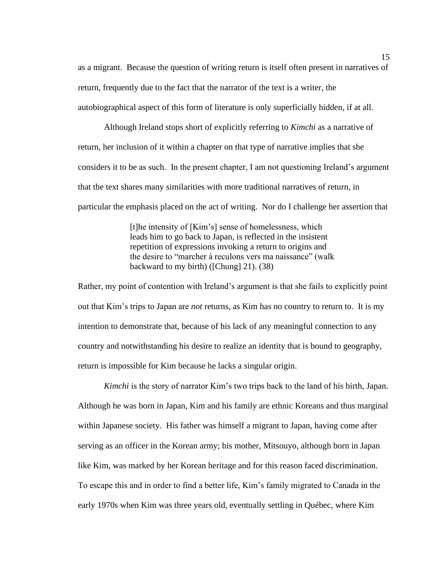as a migrant. Because the question of writing return is itself often present in narratives of return, frequently due to the fact that the narrator of the text is a writer, the autobiographical aspect of this form of literature is only superficially hidden, if at all.

Although Ireland stops short of explicitly referring to *Kimchi* as a narrative of return, her inclusion of it within a chapter on that type of narrative implies that she considers it to be as such. In the present chapter, I am not questioning Ireland's argument that the text shares many similarities with more traditional narratives of return, in particular the emphasis placed on the act of writing. Nor do I challenge her assertion that

> [t]he intensity of [Kim's] sense of homelessness, which leads him to go back to Japan, is reflected in the insistent repetition of expressions invoking a return to origins and the desire to "marcher à reculons vers ma naissance" (walk backward to my birth) ([Chung] 21). (38)

Rather, my point of contention with Ireland's argument is that she fails to explicitly point out that Kim's trips to Japan are *not* returns, as Kim has no country to return to. It is my intention to demonstrate that, because of his lack of any meaningful connection to any country and notwithstanding his desire to realize an identity that is bound to geography, return is impossible for Kim because he lacks a singular origin.

*Kimchi* is the story of narrator Kim's two trips back to the land of his birth, Japan. Although he was born in Japan, Kim and his family are ethnic Koreans and thus marginal within Japanese society. His father was himself a migrant to Japan, having come after serving as an officer in the Korean army; his mother, Mitsouyo, although born in Japan like Kim, was marked by her Korean heritage and for this reason faced discrimination. To escape this and in order to find a better life, Kim's family migrated to Canada in the early 1970s when Kim was three years old, eventually settling in Québec, where Kim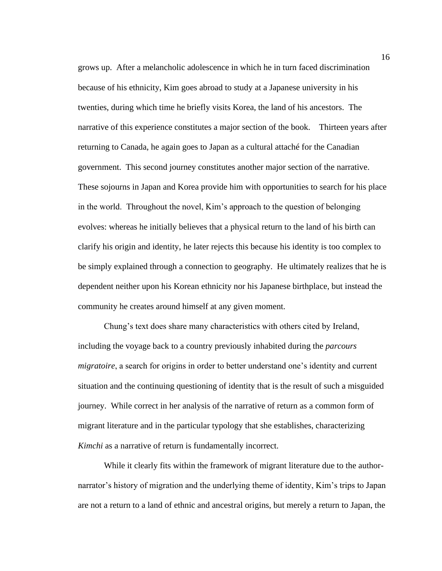grows up. After a melancholic adolescence in which he in turn faced discrimination because of his ethnicity, Kim goes abroad to study at a Japanese university in his twenties, during which time he briefly visits Korea, the land of his ancestors. The narrative of this experience constitutes a major section of the book. Thirteen years after returning to Canada, he again goes to Japan as a cultural attaché for the Canadian government. This second journey constitutes another major section of the narrative. These sojourns in Japan and Korea provide him with opportunities to search for his place in the world. Throughout the novel, Kim's approach to the question of belonging evolves: whereas he initially believes that a physical return to the land of his birth can clarify his origin and identity, he later rejects this because his identity is too complex to be simply explained through a connection to geography. He ultimately realizes that he is dependent neither upon his Korean ethnicity nor his Japanese birthplace, but instead the community he creates around himself at any given moment.

Chung's text does share many characteristics with others cited by Ireland, including the voyage back to a country previously inhabited during the *parcours migratoire*, a search for origins in order to better understand one's identity and current situation and the continuing questioning of identity that is the result of such a misguided journey. While correct in her analysis of the narrative of return as a common form of migrant literature and in the particular typology that she establishes, characterizing *Kimchi* as a narrative of return is fundamentally incorrect.

While it clearly fits within the framework of migrant literature due to the authornarrator's history of migration and the underlying theme of identity, Kim's trips to Japan are not a return to a land of ethnic and ancestral origins, but merely a return to Japan, the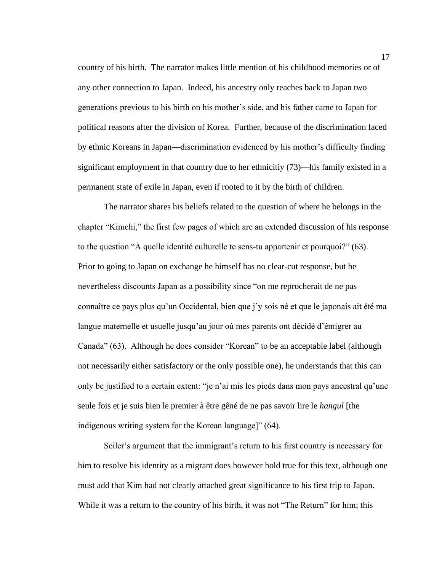country of his birth. The narrator makes little mention of his childhood memories or of any other connection to Japan. Indeed, his ancestry only reaches back to Japan two generations previous to his birth on his mother's side, and his father came to Japan for political reasons after the division of Korea. Further, because of the discrimination faced by ethnic Koreans in Japan—discrimination evidenced by his mother's difficulty finding significant employment in that country due to her ethnicitiy (73)—his family existed in a permanent state of exile in Japan, even if rooted to it by the birth of children.

The narrator shares his beliefs related to the question of where he belongs in the chapter "Kimchi," the first few pages of which are an extended discussion of his response to the question "À quelle identité culturelle te sens-tu appartenir et pourquoi?" (63). Prior to going to Japan on exchange he himself has no clear-cut response, but he nevertheless discounts Japan as a possibility since "on me reprocherait de ne pas connaître ce pays plus qu'un Occidental, bien que j'y sois né et que le japonais ait été ma langue maternelle et usuelle jusqu'au jour où mes parents ont décidé d'émigrer au Canada" (63). Although he does consider "Korean" to be an acceptable label (although not necessarily either satisfactory or the only possible one), he understands that this can only be justified to a certain extent: "je n'ai mis les pieds dans mon pays ancestral qu'une seule fois et je suis bien le premier à être gêné de ne pas savoir lire le *hangul* [the indigenous writing system for the Korean language]" (64).

Seiler's argument that the immigrant's return to his first country is necessary for him to resolve his identity as a migrant does however hold true for this text, although one must add that Kim had not clearly attached great significance to his first trip to Japan. While it was a return to the country of his birth, it was not "The Return" for him; this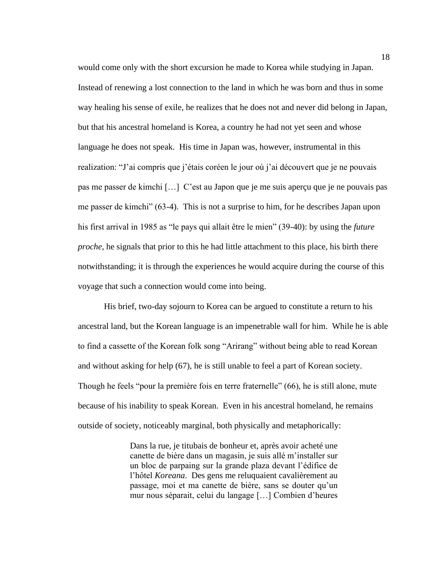would come only with the short excursion he made to Korea while studying in Japan. Instead of renewing a lost connection to the land in which he was born and thus in some way healing his sense of exile, he realizes that he does not and never did belong in Japan, but that his ancestral homeland is Korea, a country he had not yet seen and whose language he does not speak. His time in Japan was, however, instrumental in this realization: "J'ai compris que j'étais coréen le jour où j'ai découvert que je ne pouvais pas me passer de kimchi […] C'est au Japon que je me suis aperçu que je ne pouvais pas me passer de kimchi" (63-4). This is not a surprise to him, for he describes Japan upon his first arrival in 1985 as "le pays qui allait être le mien" (39-40): by using the *future proche*, he signals that prior to this he had little attachment to this place, his birth there notwithstanding; it is through the experiences he would acquire during the course of this voyage that such a connection would come into being.

His brief, two-day sojourn to Korea can be argued to constitute a return to his ancestral land, but the Korean language is an impenetrable wall for him. While he is able to find a cassette of the Korean folk song "Arirang" without being able to read Korean and without asking for help (67), he is still unable to feel a part of Korean society. Though he feels "pour la première fois en terre fraternelle" (66), he is still alone, mute because of his inability to speak Korean. Even in his ancestral homeland, he remains outside of society, noticeably marginal, both physically and metaphorically:

> Dans la rue, je titubais de bonheur et, après avoir acheté une canette de bière dans un magasin, je suis allé m'installer sur un bloc de parpaing sur la grande plaza devant l'édifice de l'hôtel *Koreana*. Des gens me reluquaient cavalièrement au passage, moi et ma canette de bière, sans se douter qu'un mur nous séparait, celui du langage […] Combien d'heures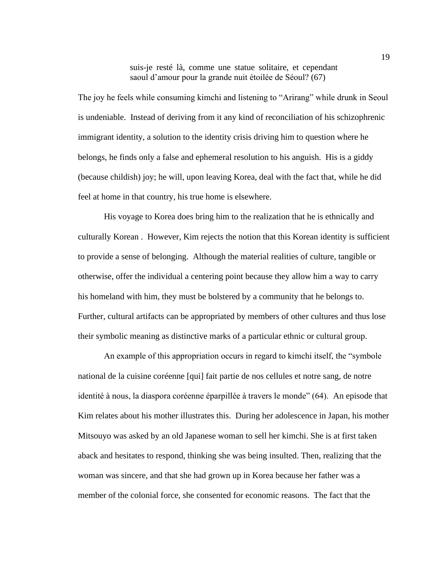suis-je resté là, comme une statue solitaire, et cependant saoul d'amour pour la grande nuit étoilée de Séoul? (67)

The joy he feels while consuming kimchi and listening to "Arirang" while drunk in Seoul is undeniable. Instead of deriving from it any kind of reconciliation of his schizophrenic immigrant identity, a solution to the identity crisis driving him to question where he belongs, he finds only a false and ephemeral resolution to his anguish. His is a giddy (because childish) joy; he will, upon leaving Korea, deal with the fact that, while he did feel at home in that country, his true home is elsewhere.

His voyage to Korea does bring him to the realization that he is ethnically and culturally Korean . However, Kim rejects the notion that this Korean identity is sufficient to provide a sense of belonging. Although the material realities of culture, tangible or otherwise, offer the individual a centering point because they allow him a way to carry his homeland with him, they must be bolstered by a community that he belongs to. Further, cultural artifacts can be appropriated by members of other cultures and thus lose their symbolic meaning as distinctive marks of a particular ethnic or cultural group.

An example of this appropriation occurs in regard to kimchi itself, the "symbole national de la cuisine coréenne [qui] fait partie de nos cellules et notre sang, de notre identité à nous, la diaspora coréenne éparpillée à travers le monde" (64). An episode that Kim relates about his mother illustrates this. During her adolescence in Japan, his mother Mitsouyo was asked by an old Japanese woman to sell her kimchi. She is at first taken aback and hesitates to respond, thinking she was being insulted. Then, realizing that the woman was sincere, and that she had grown up in Korea because her father was a member of the colonial force, she consented for economic reasons. The fact that the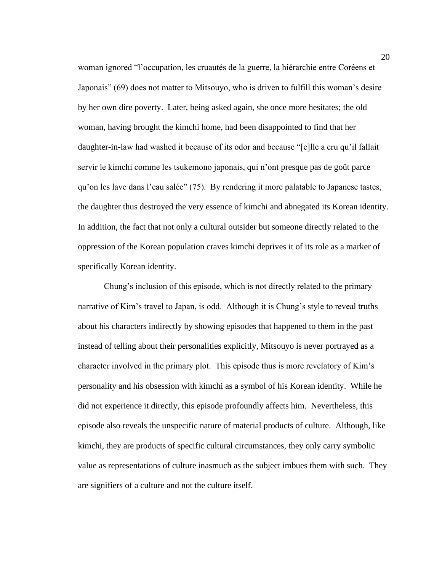woman ignored "l'occupation, les cruautés de la guerre, la hiérarchie entre Coréens et Japonais" (69) does not matter to Mitsouyo, who is driven to fulfill this woman's desire by her own dire poverty. Later, being asked again, she once more hesitates; the old woman, having brought the kimchi home, had been disappointed to find that her daughter-in-law had washed it because of its odor and because "[e]lle a cru qu'il fallait servir le kimchi comme les tsukemono japonais, qui n'ont presque pas de goût parce qu'on les lave dans l'eau salée" (75). By rendering it more palatable to Japanese tastes, the daughter thus destroyed the very essence of kimchi and abnegated its Korean identity. In addition, the fact that not only a cultural outsider but someone directly related to the oppression of the Korean population craves kimchi deprives it of its role as a marker of specifically Korean identity.

Chung's inclusion of this episode, which is not directly related to the primary narrative of Kim's travel to Japan, is odd. Although it is Chung's style to reveal truths about his characters indirectly by showing episodes that happened to them in the past instead of telling about their personalities explicitly, Mitsouyo is never portrayed as a character involved in the primary plot. This episode thus is more revelatory of Kim's personality and his obsession with kimchi as a symbol of his Korean identity. While he did not experience it directly, this episode profoundly affects him. Nevertheless, this episode also reveals the unspecific nature of material products of culture. Although, like kimchi, they are products of specific cultural circumstances, they only carry symbolic value as representations of culture inasmuch as the subject imbues them with such. They are signifiers of a culture and not the culture itself.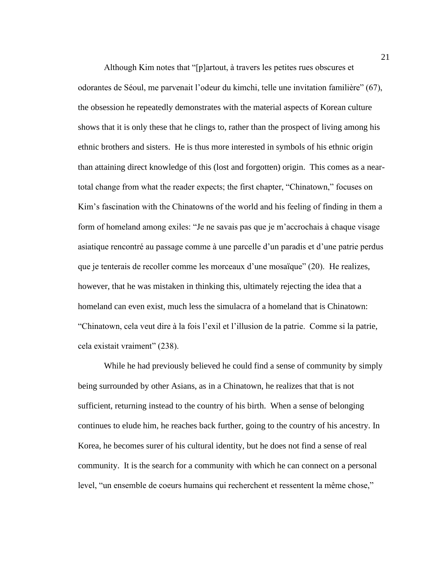Although Kim notes that "[p]artout, à travers les petites rues obscures et odorantes de Séoul, me parvenait l'odeur du kimchi, telle une invitation familière" (67), the obsession he repeatedly demonstrates with the material aspects of Korean culture shows that it is only these that he clings to, rather than the prospect of living among his ethnic brothers and sisters. He is thus more interested in symbols of his ethnic origin than attaining direct knowledge of this (lost and forgotten) origin. This comes as a neartotal change from what the reader expects; the first chapter, "Chinatown," focuses on Kim's fascination with the Chinatowns of the world and his feeling of finding in them a form of homeland among exiles: "Je ne savais pas que je m'accrochais à chaque visage asiatique rencontré au passage comme à une parcelle d'un paradis et d'une patrie perdus que je tenterais de recoller comme les morceaux d'une mosaïque" (20). He realizes, however, that he was mistaken in thinking this, ultimately rejecting the idea that a homeland can even exist, much less the simulacra of a homeland that is Chinatown: "Chinatown, cela veut dire à la fois l'exil et l'illusion de la patrie. Comme si la patrie, cela existait vraiment" (238).

While he had previously believed he could find a sense of community by simply being surrounded by other Asians, as in a Chinatown, he realizes that that is not sufficient, returning instead to the country of his birth. When a sense of belonging continues to elude him, he reaches back further, going to the country of his ancestry. In Korea, he becomes surer of his cultural identity, but he does not find a sense of real community. It is the search for a community with which he can connect on a personal level, "un ensemble de coeurs humains qui recherchent et ressentent la même chose,"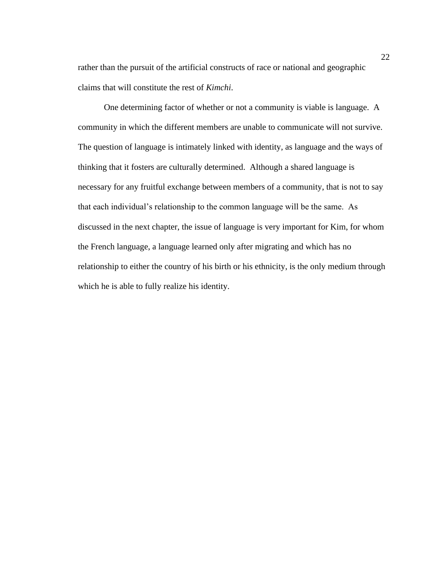rather than the pursuit of the artificial constructs of race or national and geographic claims that will constitute the rest of *Kimchi*.

One determining factor of whether or not a community is viable is language. A community in which the different members are unable to communicate will not survive. The question of language is intimately linked with identity, as language and the ways of thinking that it fosters are culturally determined. Although a shared language is necessary for any fruitful exchange between members of a community, that is not to say that each individual's relationship to the common language will be the same. As discussed in the next chapter, the issue of language is very important for Kim, for whom the French language, a language learned only after migrating and which has no relationship to either the country of his birth or his ethnicity, is the only medium through which he is able to fully realize his identity.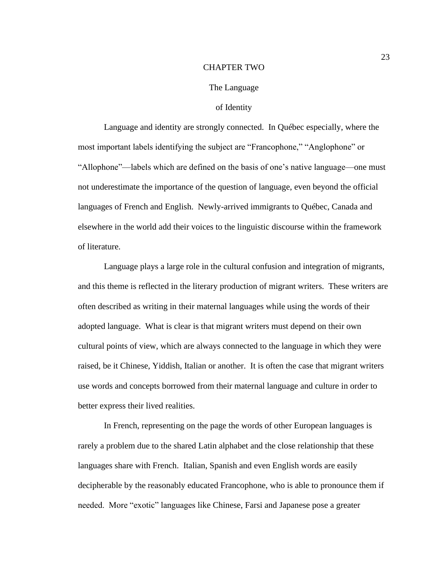#### CHAPTER TWO

#### The Language

# of Identity

Language and identity are strongly connected. In Québec especially, where the most important labels identifying the subject are "Francophone," "Anglophone" or "Allophone"—labels which are defined on the basis of one's native language—one must not underestimate the importance of the question of language, even beyond the official languages of French and English. Newly-arrived immigrants to Québec, Canada and elsewhere in the world add their voices to the linguistic discourse within the framework of literature.

Language plays a large role in the cultural confusion and integration of migrants, and this theme is reflected in the literary production of migrant writers. These writers are often described as writing in their maternal languages while using the words of their adopted language. What is clear is that migrant writers must depend on their own cultural points of view, which are always connected to the language in which they were raised, be it Chinese, Yiddish, Italian or another. It is often the case that migrant writers use words and concepts borrowed from their maternal language and culture in order to better express their lived realities.

In French, representing on the page the words of other European languages is rarely a problem due to the shared Latin alphabet and the close relationship that these languages share with French. Italian, Spanish and even English words are easily decipherable by the reasonably educated Francophone, who is able to pronounce them if needed. More "exotic" languages like Chinese, Farsi and Japanese pose a greater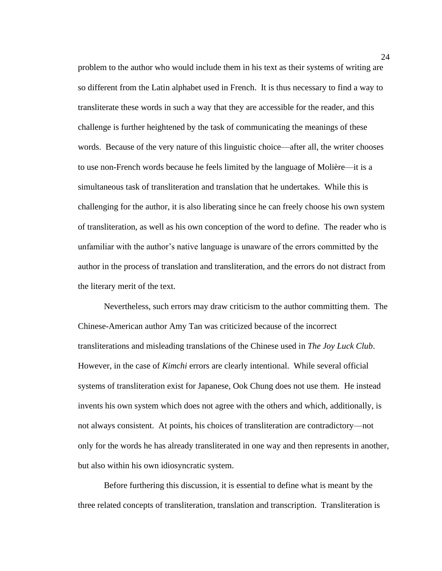problem to the author who would include them in his text as their systems of writing are so different from the Latin alphabet used in French. It is thus necessary to find a way to transliterate these words in such a way that they are accessible for the reader, and this challenge is further heightened by the task of communicating the meanings of these words. Because of the very nature of this linguistic choice—after all, the writer chooses to use non-French words because he feels limited by the language of Molière—it is a simultaneous task of transliteration and translation that he undertakes. While this is challenging for the author, it is also liberating since he can freely choose his own system of transliteration, as well as his own conception of the word to define. The reader who is unfamiliar with the author's native language is unaware of the errors committed by the author in the process of translation and transliteration, and the errors do not distract from the literary merit of the text.

Nevertheless, such errors may draw criticism to the author committing them. The Chinese-American author Amy Tan was criticized because of the incorrect transliterations and misleading translations of the Chinese used in *The Joy Luck Club*. However, in the case of *Kimchi* errors are clearly intentional. While several official systems of transliteration exist for Japanese, Ook Chung does not use them. He instead invents his own system which does not agree with the others and which, additionally, is not always consistent. At points, his choices of transliteration are contradictory—not only for the words he has already transliterated in one way and then represents in another, but also within his own idiosyncratic system.

Before furthering this discussion, it is essential to define what is meant by the three related concepts of transliteration, translation and transcription. Transliteration is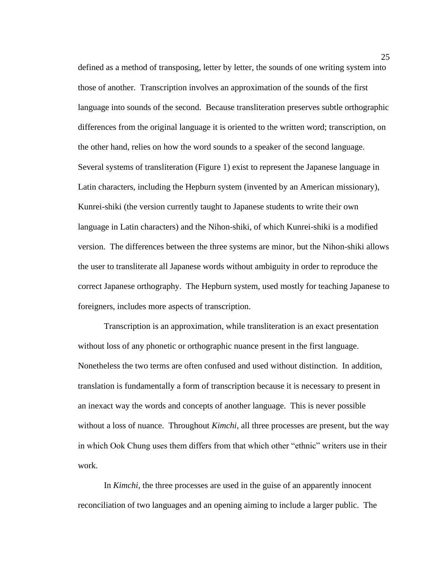defined as a method of transposing, letter by letter, the sounds of one writing system into those of another. Transcription involves an approximation of the sounds of the first language into sounds of the second. Because transliteration preserves subtle orthographic differences from the original language it is oriented to the written word; transcription, on the other hand, relies on how the word sounds to a speaker of the second language. Several systems of transliteration (Figure 1) exist to represent the Japanese language in Latin characters, including the Hepburn system (invented by an American missionary), Kunrei-shiki (the version currently taught to Japanese students to write their own language in Latin characters) and the Nihon-shiki, of which Kunrei-shiki is a modified version. The differences between the three systems are minor, but the Nihon-shiki allows the user to transliterate all Japanese words without ambiguity in order to reproduce the correct Japanese orthography. The Hepburn system, used mostly for teaching Japanese to foreigners, includes more aspects of transcription.

Transcription is an approximation, while transliteration is an exact presentation without loss of any phonetic or orthographic nuance present in the first language. Nonetheless the two terms are often confused and used without distinction. In addition, translation is fundamentally a form of transcription because it is necessary to present in an inexact way the words and concepts of another language. This is never possible without a loss of nuance. Throughout *Kimchi*, all three processes are present, but the way in which Ook Chung uses them differs from that which other "ethnic" writers use in their work.

In *Kimchi*, the three processes are used in the guise of an apparently innocent reconciliation of two languages and an opening aiming to include a larger public. The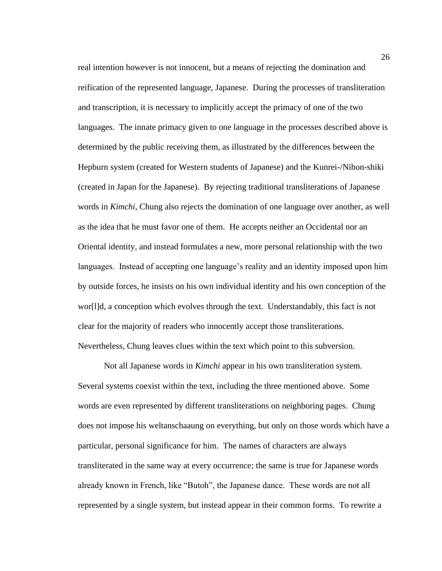real intention however is not innocent, but a means of rejecting the domination and reification of the represented language, Japanese. During the processes of transliteration and transcription, it is necessary to implicitly accept the primacy of one of the two languages. The innate primacy given to one language in the processes described above is determined by the public receiving them, as illustrated by the differences between the Hepburn system (created for Western students of Japanese) and the Kunrei-/Nihon-shiki (created in Japan for the Japanese). By rejecting traditional transliterations of Japanese words in *Kimchi*, Chung also rejects the domination of one language over another, as well as the idea that he must favor one of them. He accepts neither an Occidental nor an Oriental identity, and instead formulates a new, more personal relationship with the two languages. Instead of accepting one language's reality and an identity imposed upon him by outside forces, he insists on his own individual identity and his own conception of the wor[l]d, a conception which evolves through the text. Understandably, this fact is not clear for the majority of readers who innocently accept those transliterations. Nevertheless, Chung leaves clues within the text which point to this subversion.

Not all Japanese words in *Kimchi* appear in his own transliteration system. Several systems coexist within the text, including the three mentioned above. Some words are even represented by different transliterations on neighboring pages. Chung does not impose his weltanschaaung on everything, but only on those words which have a particular, personal significance for him. The names of characters are always transliterated in the same way at every occurrence; the same is true for Japanese words already known in French, like "Butoh", the Japanese dance. These words are not all represented by a single system, but instead appear in their common forms. To rewrite a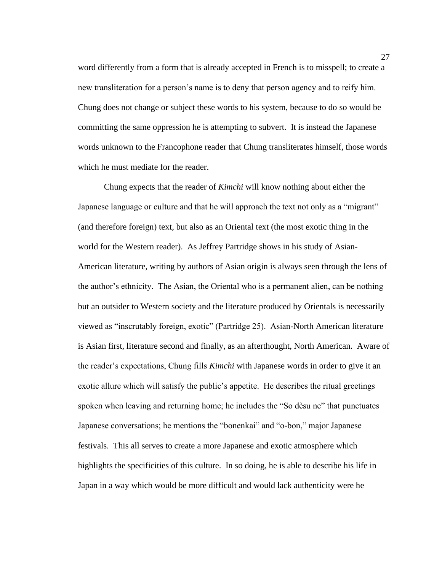word differently from a form that is already accepted in French is to misspell; to create a new transliteration for a person's name is to deny that person agency and to reify him. Chung does not change or subject these words to his system, because to do so would be committing the same oppression he is attempting to subvert. It is instead the Japanese words unknown to the Francophone reader that Chung transliterates himself, those words which he must mediate for the reader.

Chung expects that the reader of *Kimchi* will know nothing about either the Japanese language or culture and that he will approach the text not only as a "migrant" (and therefore foreign) text, but also as an Oriental text (the most exotic thing in the world for the Western reader). As Jeffrey Partridge shows in his study of Asian-American literature, writing by authors of Asian origin is always seen through the lens of the author's ethnicity. The Asian, the Oriental who is a permanent alien, can be nothing but an outsider to Western society and the literature produced by Orientals is necessarily viewed as "inscrutably foreign, exotic" (Partridge 25). Asian-North American literature is Asian first, literature second and finally, as an afterthought, North American. Aware of the reader's expectations, Chung fills *Kimchi* with Japanese words in order to give it an exotic allure which will satisfy the public's appetite. He describes the ritual greetings spoken when leaving and returning home; he includes the "So dèsu ne" that punctuates Japanese conversations; he mentions the "bonenkai" and "o-bon," major Japanese festivals. This all serves to create a more Japanese and exotic atmosphere which highlights the specificities of this culture. In so doing, he is able to describe his life in Japan in a way which would be more difficult and would lack authenticity were he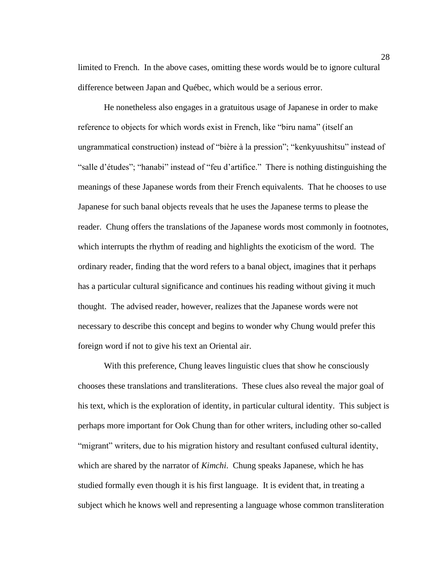limited to French. In the above cases, omitting these words would be to ignore cultural difference between Japan and Québec, which would be a serious error.

He nonetheless also engages in a gratuitous usage of Japanese in order to make reference to objects for which words exist in French, like "biru nama" (itself an ungrammatical construction) instead of "bière à la pression"; "kenkyuushitsu" instead of "salle d'études"; "hanabi" instead of "feu d'artifice." There is nothing distinguishing the meanings of these Japanese words from their French equivalents. That he chooses to use Japanese for such banal objects reveals that he uses the Japanese terms to please the reader. Chung offers the translations of the Japanese words most commonly in footnotes, which interrupts the rhythm of reading and highlights the exoticism of the word. The ordinary reader, finding that the word refers to a banal object, imagines that it perhaps has a particular cultural significance and continues his reading without giving it much thought. The advised reader, however, realizes that the Japanese words were not necessary to describe this concept and begins to wonder why Chung would prefer this foreign word if not to give his text an Oriental air.

With this preference, Chung leaves linguistic clues that show he consciously chooses these translations and transliterations. These clues also reveal the major goal of his text, which is the exploration of identity, in particular cultural identity. This subject is perhaps more important for Ook Chung than for other writers, including other so-called "migrant" writers, due to his migration history and resultant confused cultural identity, which are shared by the narrator of *Kimchi*. Chung speaks Japanese, which he has studied formally even though it is his first language. It is evident that, in treating a subject which he knows well and representing a language whose common transliteration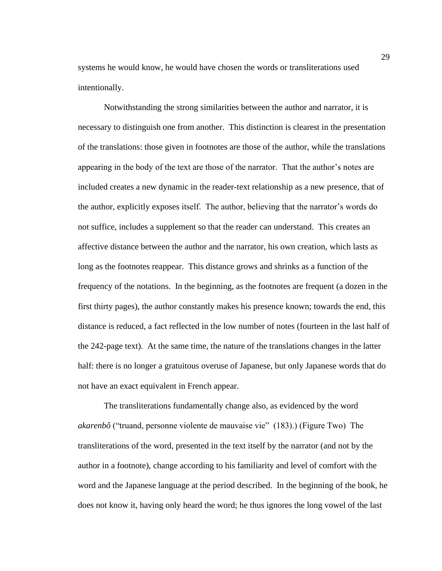systems he would know, he would have chosen the words or transliterations used intentionally.

Notwithstanding the strong similarities between the author and narrator, it is necessary to distinguish one from another. This distinction is clearest in the presentation of the translations: those given in footnotes are those of the author, while the translations appearing in the body of the text are those of the narrator. That the author's notes are included creates a new dynamic in the reader-text relationship as a new presence, that of the author, explicitly exposes itself. The author, believing that the narrator's words do not suffice, includes a supplement so that the reader can understand. This creates an affective distance between the author and the narrator, his own creation, which lasts as long as the footnotes reappear. This distance grows and shrinks as a function of the frequency of the notations. In the beginning, as the footnotes are frequent (a dozen in the first thirty pages), the author constantly makes his presence known; towards the end, this distance is reduced, a fact reflected in the low number of notes (fourteen in the last half of the 242-page text). At the same time, the nature of the translations changes in the latter half: there is no longer a gratuitous overuse of Japanese, but only Japanese words that do not have an exact equivalent in French appear.

The transliterations fundamentally change also, as evidenced by the word *akarenbô* ("truand, personne violente de mauvaise vie" (183).) (Figure Two) The transliterations of the word, presented in the text itself by the narrator (and not by the author in a footnote), change according to his familiarity and level of comfort with the word and the Japanese language at the period described. In the beginning of the book, he does not know it, having only heard the word; he thus ignores the long vowel of the last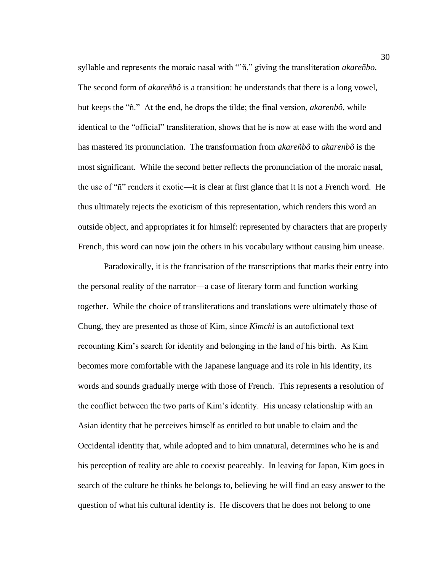syllable and represents the moraic nasal with "`ñ," giving the transliteration *akareñbo*. The second form of *akareñbô* is a transition: he understands that there is a long vowel, but keeps the "ñ." At the end, he drops the tilde; the final version, *akarenbô*, while identical to the "official" transliteration, shows that he is now at ease with the word and has mastered its pronunciation. The transformation from *akareñbô* to *akarenbô* is the most significant. While the second better reflects the pronunciation of the moraic nasal, the use of "ñ" renders it exotic—it is clear at first glance that it is not a French word. He thus ultimately rejects the exoticism of this representation, which renders this word an outside object, and appropriates it for himself: represented by characters that are properly French, this word can now join the others in his vocabulary without causing him unease.

Paradoxically, it is the francisation of the transcriptions that marks their entry into the personal reality of the narrator—a case of literary form and function working together. While the choice of transliterations and translations were ultimately those of Chung, they are presented as those of Kim, since *Kimchi* is an autofictional text recounting Kim's search for identity and belonging in the land of his birth. As Kim becomes more comfortable with the Japanese language and its role in his identity, its words and sounds gradually merge with those of French. This represents a resolution of the conflict between the two parts of Kim's identity. His uneasy relationship with an Asian identity that he perceives himself as entitled to but unable to claim and the Occidental identity that, while adopted and to him unnatural, determines who he is and his perception of reality are able to coexist peaceably. In leaving for Japan, Kim goes in search of the culture he thinks he belongs to, believing he will find an easy answer to the question of what his cultural identity is. He discovers that he does not belong to one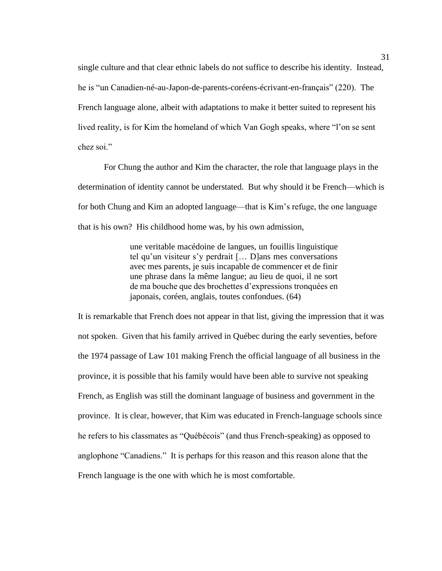single culture and that clear ethnic labels do not suffice to describe his identity. Instead, he is "un Canadien-né-au-Japon-de-parents-coréens-écrivant-en-français" (220). The French language alone, albeit with adaptations to make it better suited to represent his lived reality, is for Kim the homeland of which Van Gogh speaks, where "l'on se sent chez soi."

For Chung the author and Kim the character, the role that language plays in the determination of identity cannot be understated. But why should it be French—which is for both Chung and Kim an adopted language—that is Kim's refuge, the one language that is his own? His childhood home was, by his own admission,

> une veritable macédoine de langues, un fouillis linguistique tel qu'un visiteur s'y perdrait [… D]ans mes conversations avec mes parents, je suis incapable de commencer et de finir une phrase dans la même langue; au lieu de quoi, il ne sort de ma bouche que des brochettes d'expressions tronquées en japonais, coréen, anglais, toutes confondues. (64)

It is remarkable that French does not appear in that list, giving the impression that it was not spoken. Given that his family arrived in Québec during the early seventies, before the 1974 passage of Law 101 making French the official language of all business in the province, it is possible that his family would have been able to survive not speaking French, as English was still the dominant language of business and government in the province. It is clear, however, that Kim was educated in French-language schools since he refers to his classmates as "Québécois" (and thus French-speaking) as opposed to anglophone "Canadiens." It is perhaps for this reason and this reason alone that the French language is the one with which he is most comfortable.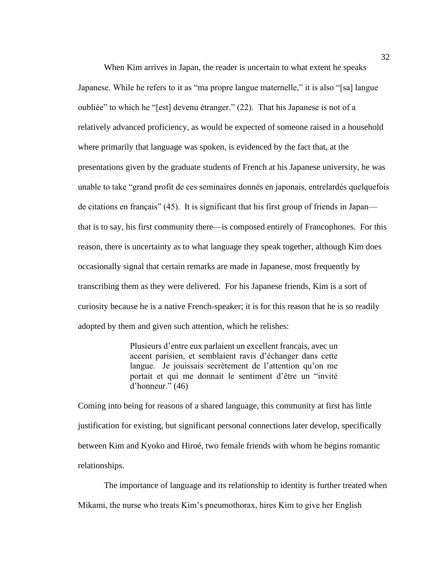When Kim arrives in Japan, the reader is uncertain to what extent he speaks Japanese. While he refers to it as "ma propre langue maternelle," it is also "[sa] langue oubliée" to which he "[est] devenu étranger." (22). That his Japanese is not of a relatively advanced proficiency, as would be expected of someone raised in a household where primarily that language was spoken, is evidenced by the fact that, at the presentations given by the graduate students of French at his Japanese university, he was unable to take "grand profit de ces seminaires donnés en japonais, entrelardés quelquefois de citations en français" (45). It is significant that his first group of friends in Japan that is to say, his first community there—is composed entirely of Francophones. For this reason, there is uncertainty as to what language they speak together, although Kim does occasionally signal that certain remarks are made in Japanese, most frequently by transcribing them as they were delivered. For his Japanese friends, Kim is a sort of curiosity because he is a native French-speaker; it is for this reason that he is so readily adopted by them and given such attention, which he relishes:

> Plusieurs d'entre eux parlaient un excellent francais, avec un accent parisien, et semblaient ravis d'échanger dans cette langue. Je jouissais secrètement de l'attention qu'on me portait et qui me donnait le sentiment d'être un "invité d'honneur." (46)

Coming into being for reasons of a shared language, this community at first has little justification for existing, but significant personal connections later develop, specifically between Kim and Kyoko and Hiroé, two female friends with whom he begins romantic relationships.

The importance of language and its relationship to identity is further treated when Mikami, the nurse who treats Kim's pneumothorax, hires Kim to give her English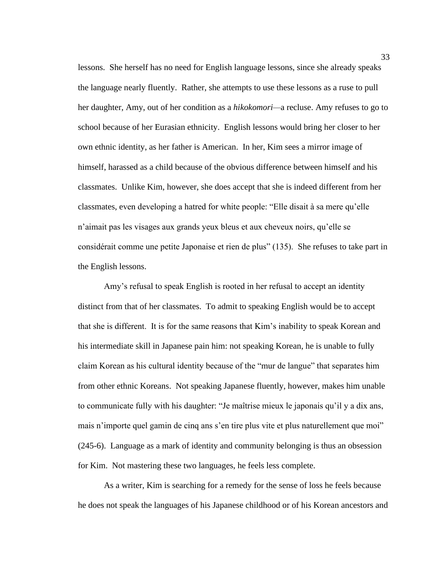lessons. She herself has no need for English language lessons, since she already speaks the language nearly fluently. Rather, she attempts to use these lessons as a ruse to pull her daughter, Amy, out of her condition as a *hikokomori—*a recluse. Amy refuses to go to school because of her Eurasian ethnicity. English lessons would bring her closer to her own ethnic identity, as her father is American. In her, Kim sees a mirror image of himself, harassed as a child because of the obvious difference between himself and his classmates. Unlike Kim, however, she does accept that she is indeed different from her classmates, even developing a hatred for white people: "Elle disait à sa mere qu'elle n'aimait pas les visages aux grands yeux bleus et aux cheveux noirs, qu'elle se considérait comme une petite Japonaise et rien de plus" (135). She refuses to take part in the English lessons.

Amy's refusal to speak English is rooted in her refusal to accept an identity distinct from that of her classmates. To admit to speaking English would be to accept that she is different. It is for the same reasons that Kim's inability to speak Korean and his intermediate skill in Japanese pain him: not speaking Korean, he is unable to fully claim Korean as his cultural identity because of the "mur de langue" that separates him from other ethnic Koreans. Not speaking Japanese fluently, however, makes him unable to communicate fully with his daughter: "Je maîtrise mieux le japonais qu'il y a dix ans, mais n'importe quel gamin de cinq ans s'en tire plus vite et plus naturellement que moi" (245-6). Language as a mark of identity and community belonging is thus an obsession for Kim. Not mastering these two languages, he feels less complete.

As a writer, Kim is searching for a remedy for the sense of loss he feels because he does not speak the languages of his Japanese childhood or of his Korean ancestors and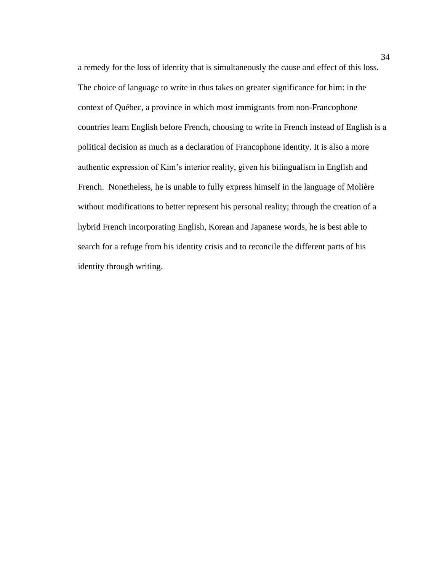a remedy for the loss of identity that is simultaneously the cause and effect of this loss. The choice of language to write in thus takes on greater significance for him: in the context of Québec, a province in which most immigrants from non-Francophone countries learn English before French, choosing to write in French instead of English is a political decision as much as a declaration of Francophone identity. It is also a more authentic expression of Kim's interior reality, given his bilingualism in English and French. Nonetheless, he is unable to fully express himself in the language of Molière without modifications to better represent his personal reality; through the creation of a hybrid French incorporating English, Korean and Japanese words, he is best able to search for a refuge from his identity crisis and to reconcile the different parts of his identity through writing.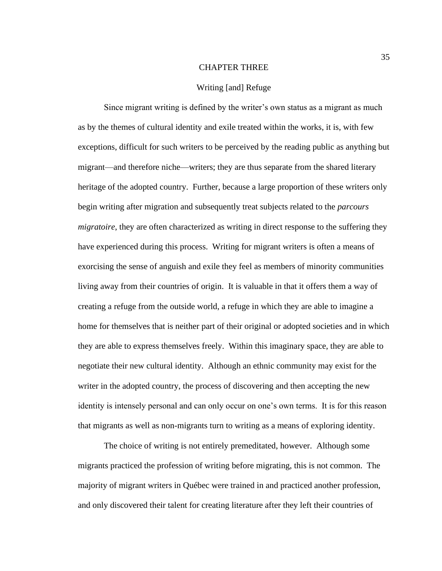## CHAPTER THREE

### Writing [and] Refuge

Since migrant writing is defined by the writer's own status as a migrant as much as by the themes of cultural identity and exile treated within the works, it is, with few exceptions, difficult for such writers to be perceived by the reading public as anything but migrant—and therefore niche—writers; they are thus separate from the shared literary heritage of the adopted country. Further, because a large proportion of these writers only begin writing after migration and subsequently treat subjects related to the *parcours migratoire*, they are often characterized as writing in direct response to the suffering they have experienced during this process. Writing for migrant writers is often a means of exorcising the sense of anguish and exile they feel as members of minority communities living away from their countries of origin. It is valuable in that it offers them a way of creating a refuge from the outside world, a refuge in which they are able to imagine a home for themselves that is neither part of their original or adopted societies and in which they are able to express themselves freely. Within this imaginary space, they are able to negotiate their new cultural identity. Although an ethnic community may exist for the writer in the adopted country, the process of discovering and then accepting the new identity is intensely personal and can only occur on one's own terms. It is for this reason that migrants as well as non-migrants turn to writing as a means of exploring identity.

The choice of writing is not entirely premeditated, however. Although some migrants practiced the profession of writing before migrating, this is not common. The majority of migrant writers in Québec were trained in and practiced another profession, and only discovered their talent for creating literature after they left their countries of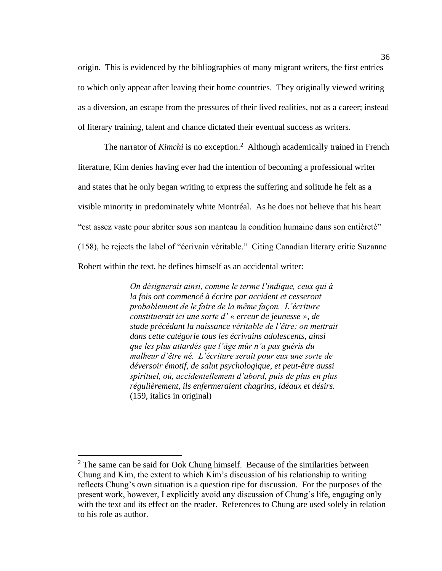origin. This is evidenced by the bibliographies of many migrant writers, the first entries to which only appear after leaving their home countries. They originally viewed writing as a diversion, an escape from the pressures of their lived realities, not as a career; instead of literary training, talent and chance dictated their eventual success as writers.

The narrator of *Kimchi* is no exception.<sup>2</sup> Although academically trained in French literature, Kim denies having ever had the intention of becoming a professional writer and states that he only began writing to express the suffering and solitude he felt as a visible minority in predominately white Montréal. As he does not believe that his heart "est assez vaste pour abriter sous son manteau la condition humaine dans son entièreté" (158), he rejects the label of "écrivain véritable." Citing Canadian literary critic Suzanne Robert within the text, he defines himself as an accidental writer:

> *On désignerait ainsi, comme le terme l'indique, ceux qui à la fois ont commencé à écrire par accident et cesseront probablement de le faire de la même façon. L'écriture constituerait ici une sorte d' « erreur de jeunesse », de stade précédant la naissance véritable de l'être; on mettrait dans cette catégorie tous les écrivains adolescents, ainsi que les plus attardés que l'âge mûr n'a pas guéris du malheur d'être né. L'écriture serait pour eux une sorte de déversoir émotif, de salut psychologique, et peut-être aussi spirituel, où, accidentellement d'abord, puis de plus en plus régulièrement, ils enfermeraient chagrins, idéaux et désirs.*  (159, italics in original)

 $2$  The same can be said for Ook Chung himself. Because of the similarities between Chung and Kim, the extent to which Kim's discussion of his relationship to writing reflects Chung's own situation is a question ripe for discussion. For the purposes of the present work, however, I explicitly avoid any discussion of Chung's life, engaging only with the text and its effect on the reader. References to Chung are used solely in relation to his role as author.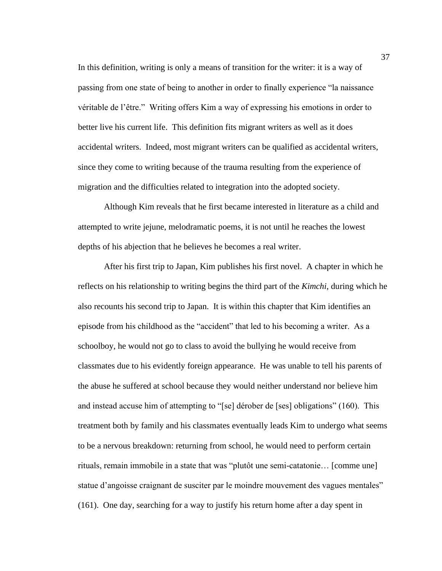In this definition, writing is only a means of transition for the writer: it is a way of passing from one state of being to another in order to finally experience "la naissance véritable de l'être." Writing offers Kim a way of expressing his emotions in order to better live his current life. This definition fits migrant writers as well as it does accidental writers. Indeed, most migrant writers can be qualified as accidental writers, since they come to writing because of the trauma resulting from the experience of migration and the difficulties related to integration into the adopted society.

Although Kim reveals that he first became interested in literature as a child and attempted to write jejune, melodramatic poems, it is not until he reaches the lowest depths of his abjection that he believes he becomes a real writer.

After his first trip to Japan, Kim publishes his first novel. A chapter in which he reflects on his relationship to writing begins the third part of the *Kimchi*, during which he also recounts his second trip to Japan. It is within this chapter that Kim identifies an episode from his childhood as the "accident" that led to his becoming a writer. As a schoolboy, he would not go to class to avoid the bullying he would receive from classmates due to his evidently foreign appearance. He was unable to tell his parents of the abuse he suffered at school because they would neither understand nor believe him and instead accuse him of attempting to "[se] dérober de [ses] obligations" (160). This treatment both by family and his classmates eventually leads Kim to undergo what seems to be a nervous breakdown: returning from school, he would need to perform certain rituals, remain immobile in a state that was "plutôt une semi-catatonie… [comme une] statue d'angoisse craignant de susciter par le moindre mouvement des vagues mentales" (161). One day, searching for a way to justify his return home after a day spent in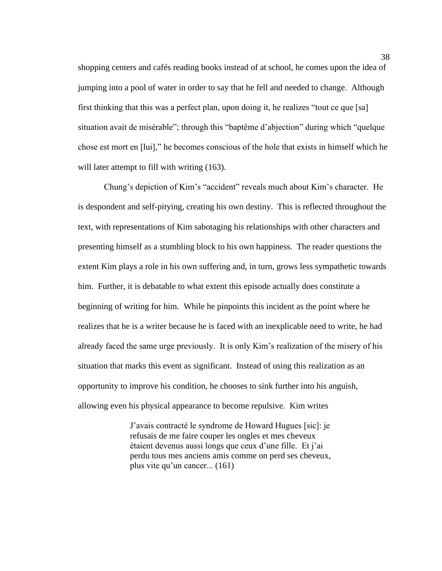shopping centers and cafés reading books instead of at school, he comes upon the idea of jumping into a pool of water in order to say that he fell and needed to change. Although first thinking that this was a perfect plan, upon doing it, he realizes "tout ce que [sa] situation avait de misérable"; through this "baptême d'abjection" during which "quelque chose est mort en [lui]," he becomes conscious of the hole that exists in himself which he will later attempt to fill with writing  $(163)$ .

Chung's depiction of Kim's "accident" reveals much about Kim's character. He is despondent and self-pitying, creating his own destiny. This is reflected throughout the text, with representations of Kim sabotaging his relationships with other characters and presenting himself as a stumbling block to his own happiness. The reader questions the extent Kim plays a role in his own suffering and, in turn, grows less sympathetic towards him. Further, it is debatable to what extent this episode actually does constitute a beginning of writing for him. While he pinpoints this incident as the point where he realizes that he is a writer because he is faced with an inexplicable need to write, he had already faced the same urge previously. It is only Kim's realization of the misery of his situation that marks this event as significant. Instead of using this realization as an opportunity to improve his condition, he chooses to sink further into his anguish, allowing even his physical appearance to become repulsive. Kim writes

> J'avais contracté le syndrome de Howard Hugues [sic]: je refusais de me faire couper les ongles et mes cheveux étaient devenus aussi longs que ceux d'une fille. Et j'ai perdu tous mes anciens amis comme on perd ses cheveux, plus vite qu'un cancer... (161)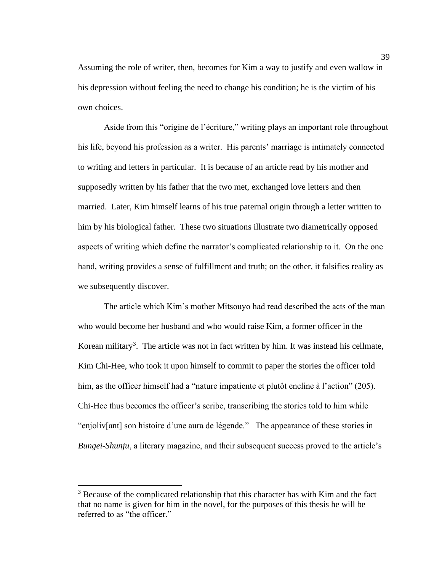Assuming the role of writer, then, becomes for Kim a way to justify and even wallow in his depression without feeling the need to change his condition; he is the victim of his own choices.

Aside from this "origine de l'écriture," writing plays an important role throughout his life, beyond his profession as a writer. His parents' marriage is intimately connected to writing and letters in particular. It is because of an article read by his mother and supposedly written by his father that the two met, exchanged love letters and then married. Later, Kim himself learns of his true paternal origin through a letter written to him by his biological father. These two situations illustrate two diametrically opposed aspects of writing which define the narrator's complicated relationship to it. On the one hand, writing provides a sense of fulfillment and truth; on the other, it falsifies reality as we subsequently discover.

The article which Kim's mother Mitsouyo had read described the acts of the man who would become her husband and who would raise Kim, a former officer in the Korean military<sup>3</sup>. The article was not in fact written by him. It was instead his cellmate, Kim Chi-Hee, who took it upon himself to commit to paper the stories the officer told him, as the officer himself had a "nature impatiente et plutôt encline à l'action" (205). Chi-Hee thus becomes the officer's scribe, transcribing the stories told to him while "enjoliv[ant] son histoire d'une aura de légende." The appearance of these stories in *Bungei-Shunju*, a literary magazine, and their subsequent success proved to the article's

<sup>&</sup>lt;sup>3</sup> Because of the complicated relationship that this character has with Kim and the fact that no name is given for him in the novel, for the purposes of this thesis he will be referred to as "the officer."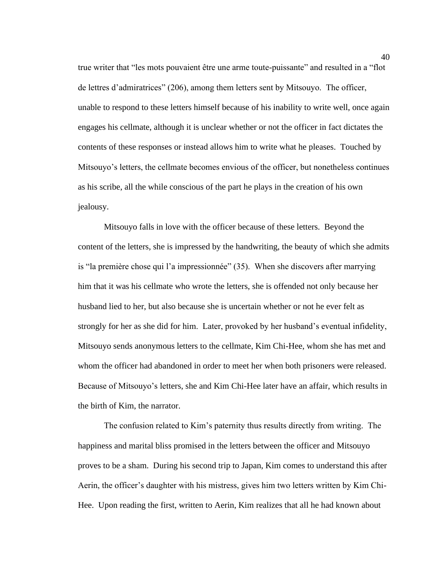true writer that "les mots pouvaient être une arme toute-puissante" and resulted in a "flot de lettres d'admiratrices" (206), among them letters sent by Mitsouyo. The officer, unable to respond to these letters himself because of his inability to write well, once again engages his cellmate, although it is unclear whether or not the officer in fact dictates the contents of these responses or instead allows him to write what he pleases. Touched by Mitsouyo's letters, the cellmate becomes envious of the officer, but nonetheless continues as his scribe, all the while conscious of the part he plays in the creation of his own jealousy.

Mitsouyo falls in love with the officer because of these letters. Beyond the content of the letters, she is impressed by the handwriting, the beauty of which she admits is "la première chose qui l'a impressionnée" (35). When she discovers after marrying him that it was his cellmate who wrote the letters, she is offended not only because her husband lied to her, but also because she is uncertain whether or not he ever felt as strongly for her as she did for him. Later, provoked by her husband's eventual infidelity, Mitsouyo sends anonymous letters to the cellmate, Kim Chi-Hee, whom she has met and whom the officer had abandoned in order to meet her when both prisoners were released. Because of Mitsouyo's letters, she and Kim Chi-Hee later have an affair, which results in the birth of Kim, the narrator.

The confusion related to Kim's paternity thus results directly from writing. The happiness and marital bliss promised in the letters between the officer and Mitsouyo proves to be a sham. During his second trip to Japan, Kim comes to understand this after Aerin, the officer's daughter with his mistress, gives him two letters written by Kim Chi-Hee. Upon reading the first, written to Aerin, Kim realizes that all he had known about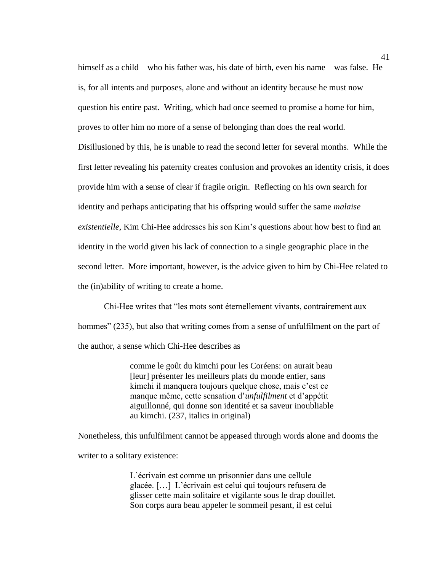himself as a child—who his father was, his date of birth, even his name—was false. He is, for all intents and purposes, alone and without an identity because he must now question his entire past. Writing, which had once seemed to promise a home for him, proves to offer him no more of a sense of belonging than does the real world. Disillusioned by this, he is unable to read the second letter for several months. While the first letter revealing his paternity creates confusion and provokes an identity crisis, it does provide him with a sense of clear if fragile origin. Reflecting on his own search for identity and perhaps anticipating that his offspring would suffer the same *malaise existentielle*, Kim Chi-Hee addresses his son Kim's questions about how best to find an identity in the world given his lack of connection to a single geographic place in the second letter. More important, however, is the advice given to him by Chi-Hee related to the (in)ability of writing to create a home.

Chi-Hee writes that "les mots sont éternellement vivants, contrairement aux hommes" (235), but also that writing comes from a sense of unfulfilment on the part of the author, a sense which Chi-Hee describes as

> comme le goût du kimchi pour les Coréens: on aurait beau [leur] présenter les meilleurs plats du monde entier, sans kimchi il manquera toujours quelque chose, mais c'est ce manque même, cette sensation d'*unfulfilment* et d'appétit aiguillonné, qui donne son identité et sa saveur inoubliable au kimchi. (237, italics in original)

Nonetheless, this unfulfilment cannot be appeased through words alone and dooms the

writer to a solitary existence:

L'écrivain est comme un prisonnier dans une cellule glacée. […] L'écrivain est celui qui toujours refusera de glisser cette main solitaire et vigilante sous le drap douillet. Son corps aura beau appeler le sommeil pesant, il est celui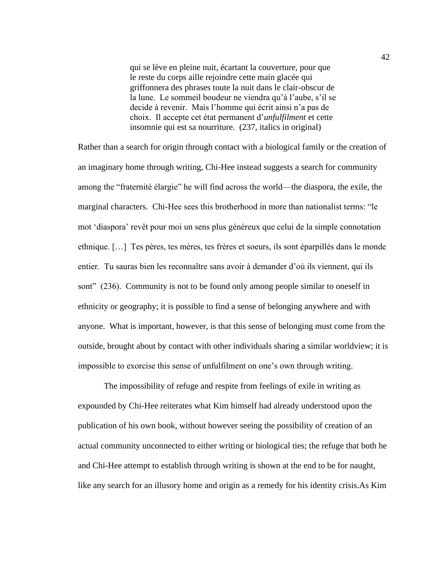qui se lève en pleine nuit, écartant la couverture, pour que le reste du corps aille rejoindre cette main glacée qui griffonnera des phrases toute la nuit dans le clair-obscur de la lune. Le sommeil boudeur ne viendra qu'à l'aube, s'il se decide à revenir. Mais l'homme qui écrit ainsi n'a pas de choix. Il accepte cet état permanent d'*unfulfilment* et cette insomnie qui est sa nourriture. (237, italics in original)

Rather than a search for origin through contact with a biological family or the creation of an imaginary home through writing, Chi-Hee instead suggests a search for community among the "fraternité élargie" he will find across the world—the diaspora, the exile, the marginal characters. Chi-Hee sees this brotherhood in more than nationalist terms: "le mot 'diaspora' revêt pour moi un sens plus généreux que celui de la simple connotation ethnique. […] Tes pères, tes mères, tes frères et soeurs, ils sont éparpillés dans le monde entier. Tu sauras bien les reconnaître sans avoir à demander d'où ils viennent, qui ils sont" (236). Community is not to be found only among people similar to oneself in ethnicity or geography; it is possible to find a sense of belonging anywhere and with anyone. What is important, however, is that this sense of belonging must come from the outside, brought about by contact with other individuals sharing a similar worldview; it is impossible to exorcise this sense of unfulfilment on one's own through writing.

The impossibility of refuge and respite from feelings of exile in writing as expounded by Chi-Hee reiterates what Kim himself had already understood upon the publication of his own book, without however seeing the possibility of creation of an actual community unconnected to either writing or biological ties; the refuge that both he and Chi-Hee attempt to establish through writing is shown at the end to be for naught, like any search for an illusory home and origin as a remedy for his identity crisis.As Kim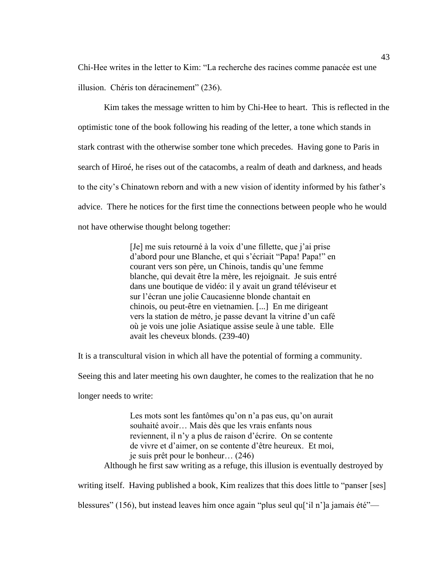Chi-Hee writes in the letter to Kim: "La recherche des racines comme panacée est une illusion. Chéris ton déracinement" (236).

Kim takes the message written to him by Chi-Hee to heart. This is reflected in the optimistic tone of the book following his reading of the letter, a tone which stands in stark contrast with the otherwise somber tone which precedes. Having gone to Paris in search of Hiroé, he rises out of the catacombs, a realm of death and darkness, and heads to the city's Chinatown reborn and with a new vision of identity informed by his father's advice. There he notices for the first time the connections between people who he would not have otherwise thought belong together:

> [Je] me suis retourné à la voix d'une fillette, que j'ai prise d'abord pour une Blanche, et qui s'écriait "Papa! Papa!" en courant vers son père, un Chinois, tandis qu'une femme blanche, qui devait être la mère, les rejoignait. Je suis entré dans une boutique de vidéo: il y avait un grand téléviseur et sur l'écran une jolie Caucasienne blonde chantait en chinois, ou peut-être en vietnamien. [...] En me dirigeant vers la station de métro, je passe devant la vitrine d'un café où je vois une jolie Asiatique assise seule à une table. Elle avait les cheveux blonds. (239-40)

It is a transcultural vision in which all have the potential of forming a community.

Seeing this and later meeting his own daughter, he comes to the realization that he no

longer needs to write:

Les mots sont les fantômes qu'on n'a pas eus, qu'on aurait souhaité avoir… Mais dès que les vrais enfants nous reviennent, il n'y a plus de raison d'écrire. On se contente de vivre et d'aimer, on se contente d'être heureux. Et moi, je suis prêt pour le bonheur… (246) Although he first saw writing as a refuge, this illusion is eventually destroyed by

writing itself. Having published a book, Kim realizes that this does little to "panser [ses]

blessures" (156), but instead leaves him once again "plus seul qu['il n']a jamais été"—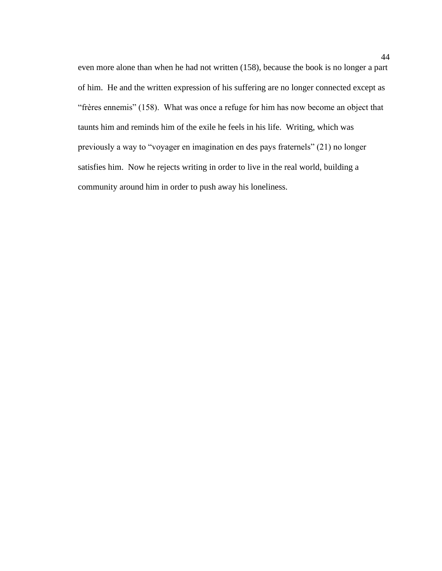even more alone than when he had not written (158), because the book is no longer a part of him. He and the written expression of his suffering are no longer connected except as "frères ennemis" (158). What was once a refuge for him has now become an object that taunts him and reminds him of the exile he feels in his life. Writing, which was previously a way to "voyager en imagination en des pays fraternels" (21) no longer satisfies him. Now he rejects writing in order to live in the real world, building a community around him in order to push away his loneliness.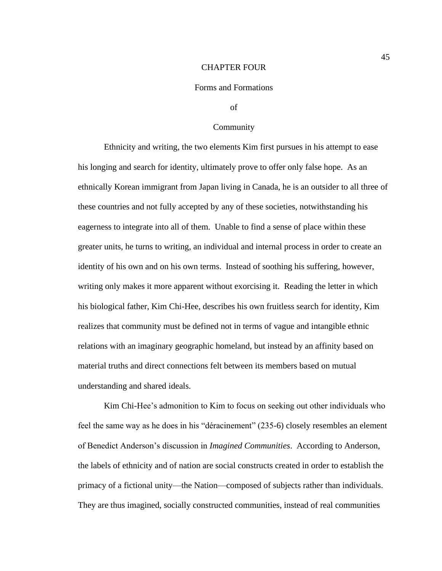# CHAPTER FOUR

# Forms and Formations

of

### Community

Ethnicity and writing, the two elements Kim first pursues in his attempt to ease his longing and search for identity, ultimately prove to offer only false hope. As an ethnically Korean immigrant from Japan living in Canada, he is an outsider to all three of these countries and not fully accepted by any of these societies, notwithstanding his eagerness to integrate into all of them. Unable to find a sense of place within these greater units, he turns to writing, an individual and internal process in order to create an identity of his own and on his own terms. Instead of soothing his suffering, however, writing only makes it more apparent without exorcising it. Reading the letter in which his biological father, Kim Chi-Hee, describes his own fruitless search for identity, Kim realizes that community must be defined not in terms of vague and intangible ethnic relations with an imaginary geographic homeland, but instead by an affinity based on material truths and direct connections felt between its members based on mutual understanding and shared ideals.

Kim Chi-Hee's admonition to Kim to focus on seeking out other individuals who feel the same way as he does in his "déracinement" (235-6) closely resembles an element of Benedict Anderson's discussion in *Imagined Communities*. According to Anderson, the labels of ethnicity and of nation are social constructs created in order to establish the primacy of a fictional unity—the Nation—composed of subjects rather than individuals. They are thus imagined, socially constructed communities, instead of real communities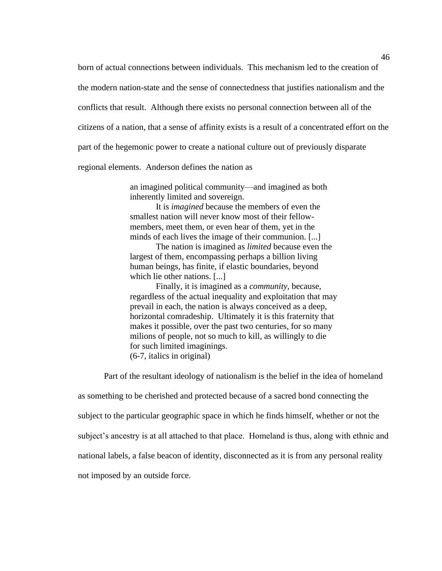born of actual connections between individuals. This mechanism led to the creation of the modern nation-state and the sense of connectedness that justifies nationalism and the conflicts that result. Although there exists no personal connection between all of the citizens of a nation, that a sense of affinity exists is a result of a concentrated effort on the part of the hegemonic power to create a national culture out of previously disparate

regional elements. Anderson defines the nation as

an imagined political community—and imagined as both inherently limited and sovereign.

It is *imagined* because the members of even the smallest nation will never know most of their fellowmembers, meet them, or even hear of them, yet in the minds of each lives the image of their communion. [...]

The nation is imagined as *limited* because even the largest of them, encompassing perhaps a billion living human beings, has finite, if elastic boundaries, beyond which lie other nations. [...]

Finally, it is imagined as a *community*, because, regardless of the actual inequality and exploitation that may prevail in each, the nation is always conceived as a deep, horizontal comradeship. Ultimately it is this fraternity that makes it possible, over the past two centuries, for so many milions of people, not so much to kill, as willingly to die for such limited imaginings. (6-7, italics in original)

Part of the resultant ideology of nationalism is the belief in the idea of homeland

as something to be cherished and protected because of a sacred bond connecting the subject to the particular geographic space in which he finds himself, whether or not the subject's ancestry is at all attached to that place. Homeland is thus, along with ethnic and national labels, a false beacon of identity, disconnected as it is from any personal reality not imposed by an outside force.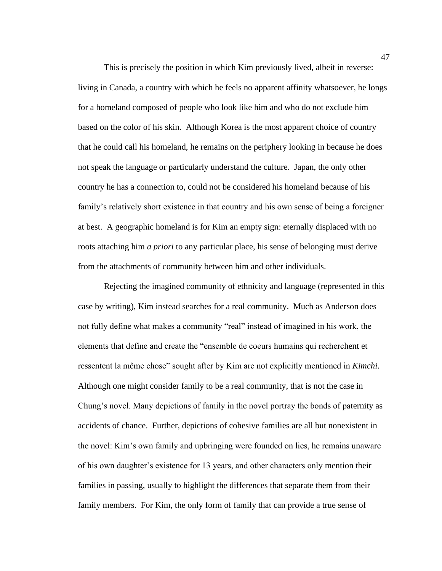This is precisely the position in which Kim previously lived, albeit in reverse: living in Canada, a country with which he feels no apparent affinity whatsoever, he longs for a homeland composed of people who look like him and who do not exclude him based on the color of his skin. Although Korea is the most apparent choice of country that he could call his homeland, he remains on the periphery looking in because he does not speak the language or particularly understand the culture. Japan, the only other country he has a connection to, could not be considered his homeland because of his family's relatively short existence in that country and his own sense of being a foreigner at best. A geographic homeland is for Kim an empty sign: eternally displaced with no roots attaching him *a priori* to any particular place, his sense of belonging must derive from the attachments of community between him and other individuals.

Rejecting the imagined community of ethnicity and language (represented in this case by writing), Kim instead searches for a real community. Much as Anderson does not fully define what makes a community "real" instead of imagined in his work, the elements that define and create the "ensemble de coeurs humains qui recherchent et ressentent la même chose" sought after by Kim are not explicitly mentioned in *Kimchi*. Although one might consider family to be a real community, that is not the case in Chung's novel. Many depictions of family in the novel portray the bonds of paternity as accidents of chance. Further, depictions of cohesive families are all but nonexistent in the novel: Kim's own family and upbringing were founded on lies, he remains unaware of his own daughter's existence for 13 years, and other characters only mention their families in passing, usually to highlight the differences that separate them from their family members. For Kim, the only form of family that can provide a true sense of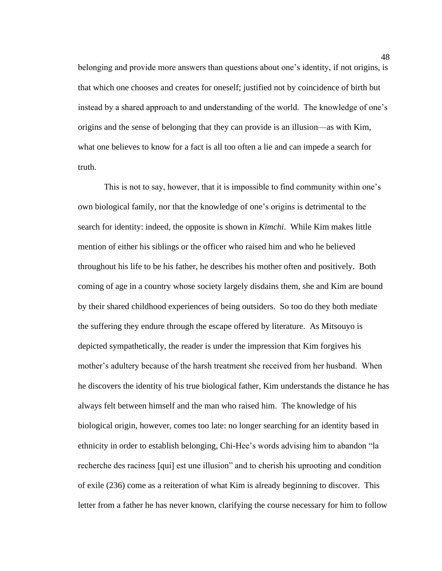belonging and provide more answers than questions about one's identity, if not origins, is that which one chooses and creates for oneself; justified not by coincidence of birth but instead by a shared approach to and understanding of the world. The knowledge of one's origins and the sense of belonging that they can provide is an illusion—as with Kim, what one believes to know for a fact is all too often a lie and can impede a search for truth.

This is not to say, however, that it is impossible to find community within one's own biological family, nor that the knowledge of one's origins is detrimental to the search for identity: indeed, the opposite is shown in *Kimchi*. While Kim makes little mention of either his siblings or the officer who raised him and who he believed throughout his life to be his father, he describes his mother often and positively. Both coming of age in a country whose society largely disdains them, she and Kim are bound by their shared childhood experiences of being outsiders. So too do they both mediate the suffering they endure through the escape offered by literature. As Mitsouyo is depicted sympathetically, the reader is under the impression that Kim forgives his mother's adultery because of the harsh treatment she received from her husband. When he discovers the identity of his true biological father, Kim understands the distance he has always felt between himself and the man who raised him. The knowledge of his biological origin, however, comes too late: no longer searching for an identity based in ethnicity in order to establish belonging, Chi-Hee's words advising him to abandon "la recherche des raciness [qui] est une illusion" and to cherish his uprooting and condition of exile (236) come as a reiteration of what Kim is already beginning to discover. This letter from a father he has never known, clarifying the course necessary for him to follow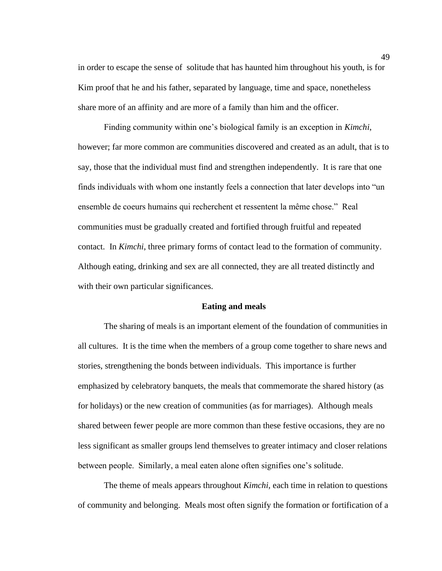in order to escape the sense of solitude that has haunted him throughout his youth, is for Kim proof that he and his father, separated by language, time and space, nonetheless share more of an affinity and are more of a family than him and the officer.

Finding community within one's biological family is an exception in *Kimchi*, however; far more common are communities discovered and created as an adult, that is to say, those that the individual must find and strengthen independently. It is rare that one finds individuals with whom one instantly feels a connection that later develops into "un ensemble de coeurs humains qui recherchent et ressentent la même chose." Real communities must be gradually created and fortified through fruitful and repeated contact. In *Kimchi*, three primary forms of contact lead to the formation of community. Although eating, drinking and sex are all connected, they are all treated distinctly and with their own particular significances.

#### **Eating and meals**

The sharing of meals is an important element of the foundation of communities in all cultures. It is the time when the members of a group come together to share news and stories, strengthening the bonds between individuals. This importance is further emphasized by celebratory banquets, the meals that commemorate the shared history (as for holidays) or the new creation of communities (as for marriages). Although meals shared between fewer people are more common than these festive occasions, they are no less significant as smaller groups lend themselves to greater intimacy and closer relations between people. Similarly, a meal eaten alone often signifies one's solitude.

The theme of meals appears throughout *Kimchi*, each time in relation to questions of community and belonging. Meals most often signify the formation or fortification of a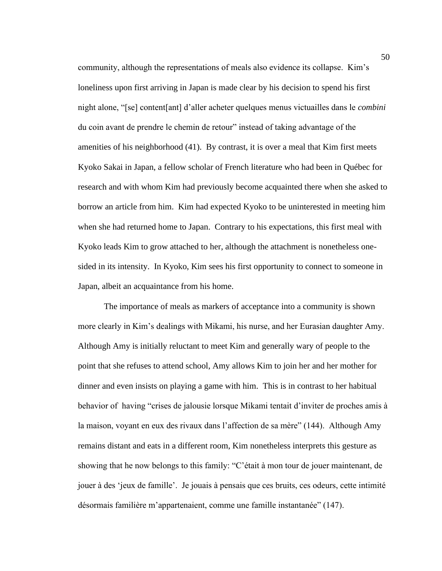community, although the representations of meals also evidence its collapse. Kim's loneliness upon first arriving in Japan is made clear by his decision to spend his first night alone, "[se] content[ant] d'aller acheter quelques menus victuailles dans le *combini* du coin avant de prendre le chemin de retour" instead of taking advantage of the amenities of his neighborhood (41). By contrast, it is over a meal that Kim first meets Kyoko Sakai in Japan, a fellow scholar of French literature who had been in Québec for research and with whom Kim had previously become acquainted there when she asked to borrow an article from him. Kim had expected Kyoko to be uninterested in meeting him when she had returned home to Japan. Contrary to his expectations, this first meal with Kyoko leads Kim to grow attached to her, although the attachment is nonetheless onesided in its intensity. In Kyoko, Kim sees his first opportunity to connect to someone in Japan, albeit an acquaintance from his home.

The importance of meals as markers of acceptance into a community is shown more clearly in Kim's dealings with Mikami, his nurse, and her Eurasian daughter Amy. Although Amy is initially reluctant to meet Kim and generally wary of people to the point that she refuses to attend school, Amy allows Kim to join her and her mother for dinner and even insists on playing a game with him. This is in contrast to her habitual behavior of having "crises de jalousie lorsque Mikami tentait d'inviter de proches amis à la maison, voyant en eux des rivaux dans l'affection de sa mère" (144). Although Amy remains distant and eats in a different room, Kim nonetheless interprets this gesture as showing that he now belongs to this family: "C'était à mon tour de jouer maintenant, de jouer à des 'jeux de famille'. Je jouais à pensais que ces bruits, ces odeurs, cette intimité désormais familière m'appartenaient, comme une famille instantanée" (147).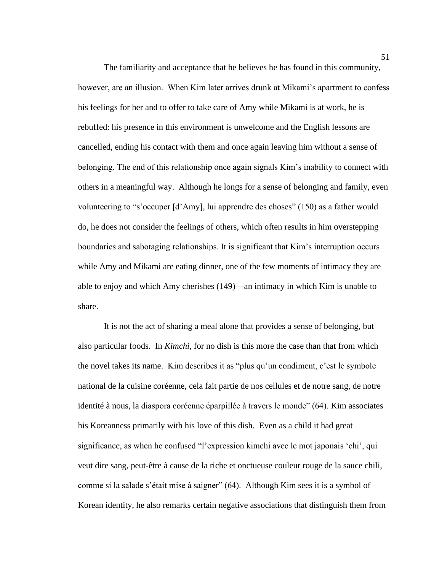The familiarity and acceptance that he believes he has found in this community, however, are an illusion. When Kim later arrives drunk at Mikami's apartment to confess his feelings for her and to offer to take care of Amy while Mikami is at work, he is rebuffed: his presence in this environment is unwelcome and the English lessons are cancelled, ending his contact with them and once again leaving him without a sense of belonging. The end of this relationship once again signals Kim's inability to connect with others in a meaningful way. Although he longs for a sense of belonging and family, even volunteering to "s'occuper [d'Amy], lui apprendre des choses" (150) as a father would do, he does not consider the feelings of others, which often results in him overstepping boundaries and sabotaging relationships. It is significant that Kim's interruption occurs while Amy and Mikami are eating dinner, one of the few moments of intimacy they are able to enjoy and which Amy cherishes (149)—an intimacy in which Kim is unable to share.

It is not the act of sharing a meal alone that provides a sense of belonging, but also particular foods. In *Kimchi*, for no dish is this more the case than that from which the novel takes its name. Kim describes it as "plus qu'un condiment, c'est le symbole national de la cuisine coréenne, cela fait partie de nos cellules et de notre sang, de notre identité à nous, la diaspora coréenne éparpillée à travers le monde" (64). Kim associates his Koreanness primarily with his love of this dish. Even as a child it had great significance, as when he confused "l'expression kimchi avec le mot japonais 'chi', qui veut dire sang, peut-être à cause de la riche et onctueuse couleur rouge de la sauce chili, comme si la salade s'était mise à saigner" (64). Although Kim sees it is a symbol of Korean identity, he also remarks certain negative associations that distinguish them from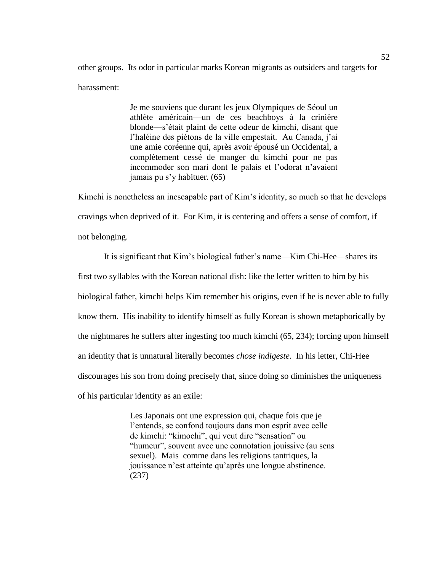other groups. Its odor in particular marks Korean migrants as outsiders and targets for harassment:

> Je me souviens que durant les jeux Olympiques de Séoul un athlète américain—un de ces beachboys à la crinière blonde—s'était plaint de cette odeur de kimchi, disant que l'haléine des piétons de la ville empestait. Au Canada, j'ai une amie coréenne qui, après avoir épousé un Occidental, a complètement cessé de manger du kimchi pour ne pas incommoder son mari dont le palais et l'odorat n'avaient jamais pu s'y habituer. (65)

Kimchi is nonetheless an inescapable part of Kim's identity, so much so that he develops cravings when deprived of it. For Kim, it is centering and offers a sense of comfort, if not belonging.

It is significant that Kim's biological father's name—Kim Chi-Hee—shares its first two syllables with the Korean national dish: like the letter written to him by his biological father, kimchi helps Kim remember his origins, even if he is never able to fully know them. His inability to identify himself as fully Korean is shown metaphorically by the nightmares he suffers after ingesting too much kimchi (65, 234); forcing upon himself an identity that is unnatural literally becomes *chose indigeste.* In his letter, Chi-Hee discourages his son from doing precisely that, since doing so diminishes the uniqueness of his particular identity as an exile:

> Les Japonais ont une expression qui, chaque fois que je l'entends, se confond toujours dans mon esprit avec celle de kimchi: "kimochi", qui veut dire "sensation" ou "humeur", souvent avec une connotation jouissive (au sens sexuel). Mais comme dans les religions tantriques, la jouissance n'est atteinte qu'après une longue abstinence. (237)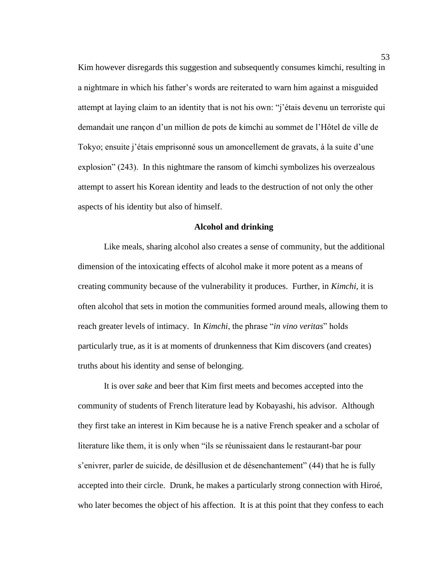Kim however disregards this suggestion and subsequently consumes kimchi, resulting in a nightmare in which his father's words are reiterated to warn him against a misguided attempt at laying claim to an identity that is not his own: "j'étais devenu un terroriste qui demandait une rançon d'un million de pots de kimchi au sommet de l'Hôtel de ville de Tokyo; ensuite j'étais emprisonné sous un amoncellement de gravats, à la suite d'une explosion" (243). In this nightmare the ransom of kimchi symbolizes his overzealous attempt to assert his Korean identity and leads to the destruction of not only the other aspects of his identity but also of himself.

## **Alcohol and drinking**

Like meals, sharing alcohol also creates a sense of community, but the additional dimension of the intoxicating effects of alcohol make it more potent as a means of creating community because of the vulnerability it produces. Further, in *Kimchi*, it is often alcohol that sets in motion the communities formed around meals, allowing them to reach greater levels of intimacy. In *Kimchi*, the phrase "*in vino veritas*" holds particularly true, as it is at moments of drunkenness that Kim discovers (and creates) truths about his identity and sense of belonging.

It is over *sake* and beer that Kim first meets and becomes accepted into the community of students of French literature lead by Kobayashi, his advisor. Although they first take an interest in Kim because he is a native French speaker and a scholar of literature like them, it is only when "ils se réunissaient dans le restaurant-bar pour s'enivrer, parler de suicide, de désillusion et de désenchantement" (44) that he is fully accepted into their circle. Drunk, he makes a particularly strong connection with Hiroé, who later becomes the object of his affection. It is at this point that they confess to each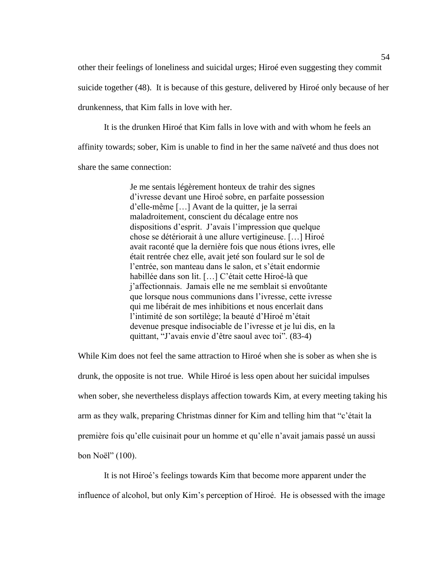other their feelings of loneliness and suicidal urges; Hiroé even suggesting they commit suicide together (48). It is because of this gesture, delivered by Hiroé only because of her drunkenness, that Kim falls in love with her.

It is the drunken Hiroé that Kim falls in love with and with whom he feels an affinity towards; sober, Kim is unable to find in her the same naïveté and thus does not share the same connection:

> Je me sentais légèrement honteux de trahir des signes d'ivresse devant une Hiroé sobre, en parfaite possession d'elle-même […] Avant de la quitter, je la serrai maladroitement, conscient du décalage entre nos dispositions d'esprit. J'avais l'impression que quelque chose se détériorait à une allure vertigineuse. […] Hiroé avait raconté que la dernière fois que nous étions ivres, elle était rentrée chez elle, avait jeté son foulard sur le sol de l'entrée, son manteau dans le salon, et s'était endormie habillée dans son lit. […] C'était cette Hiroé-là que j'affectionnais. Jamais elle ne me semblait si envoûtante que lorsque nous communions dans l'ivresse, cette ivresse qui me libérait de mes inhibitions et nous encerlait dans l'intimité de son sortilège; la beauté d'Hiroé m'était devenue presque indisociable de l'ivresse et je lui dis, en la quittant, "J'avais envie d'être saoul avec toi". (83-4)

While Kim does not feel the same attraction to Hiroé when she is sober as when she is drunk, the opposite is not true. While Hiroé is less open about her suicidal impulses when sober, she nevertheless displays affection towards Kim, at every meeting taking his arm as they walk, preparing Christmas dinner for Kim and telling him that "c'était la première fois qu'elle cuisinait pour un homme et qu'elle n'avait jamais passé un aussi bon Noël" (100).

It is not Hiroé's feelings towards Kim that become more apparent under the influence of alcohol, but only Kim's perception of Hiroé. He is obsessed with the image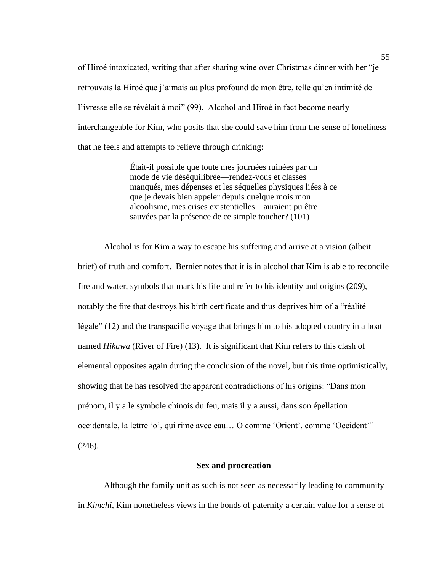of Hiroé intoxicated, writing that after sharing wine over Christmas dinner with her "je retrouvais la Hiroé que j'aimais au plus profound de mon être, telle qu'en intimité de l'ivresse elle se révélait à moi" (99). Alcohol and Hiroé in fact become nearly interchangeable for Kim, who posits that she could save him from the sense of loneliness that he feels and attempts to relieve through drinking:

> Était-il possible que toute mes journées ruinées par un mode de vie déséquilibrée—rendez-vous et classes manqués, mes dépenses et les séquelles physiques liées à ce que je devais bien appeler depuis quelque mois mon alcoolisme, mes crises existentielles—auraient pu être sauvées par la présence de ce simple toucher? (101)

Alcohol is for Kim a way to escape his suffering and arrive at a vision (albeit brief) of truth and comfort. Bernier notes that it is in alcohol that Kim is able to reconcile fire and water, symbols that mark his life and refer to his identity and origins (209), notably the fire that destroys his birth certificate and thus deprives him of a "réalité légale" (12) and the transpacific voyage that brings him to his adopted country in a boat named *Hikawa* (River of Fire) (13). It is significant that Kim refers to this clash of elemental opposites again during the conclusion of the novel, but this time optimistically, showing that he has resolved the apparent contradictions of his origins: "Dans mon prénom, il y a le symbole chinois du feu, mais il y a aussi, dans son épellation occidentale, la lettre 'o', qui rime avec eau… O comme 'Orient', comme 'Occident'"  $(246)$ .

# **Sex and procreation**

Although the family unit as such is not seen as necessarily leading to community in *Kimchi*, Kim nonetheless views in the bonds of paternity a certain value for a sense of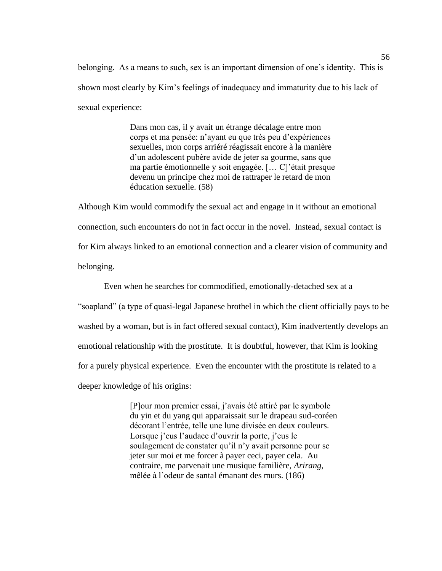belonging. As a means to such, sex is an important dimension of one's identity. This is shown most clearly by Kim's feelings of inadequacy and immaturity due to his lack of sexual experience:

> Dans mon cas, il y avait un étrange décalage entre mon corps et ma pensée: n'ayant eu que très peu d'expériences sexuelles, mon corps arriéré réagissait encore à la manière d'un adolescent pubère avide de jeter sa gourme, sans que ma partie émotionnelle y soit engagée. [… C]'était presque devenu un principe chez moi de rattraper le retard de mon éducation sexuelle. (58)

Although Kim would commodify the sexual act and engage in it without an emotional connection, such encounters do not in fact occur in the novel. Instead, sexual contact is for Kim always linked to an emotional connection and a clearer vision of community and belonging.

Even when he searches for commodified, emotionally-detached sex at a "soapland" (a type of quasi-legal Japanese brothel in which the client officially pays to be washed by a woman, but is in fact offered sexual contact), Kim inadvertently develops an emotional relationship with the prostitute. It is doubtful, however, that Kim is looking for a purely physical experience. Even the encounter with the prostitute is related to a deeper knowledge of his origins:

> [P]our mon premier essai, j'avais été attiré par le symbole du yin et du yang qui apparaissait sur le drapeau sud-coréen décorant l'entrée, telle une lune divisée en deux couleurs. Lorsque j'eus l'audace d'ouvrir la porte, j'eus le soulagement de constater qu'il n'y avait personne pour se jeter sur moi et me forcer à payer ceci, payer cela. Au contraire, me parvenait une musique familière, *Arirang*, mêlée à l'odeur de santal émanant des murs. (186)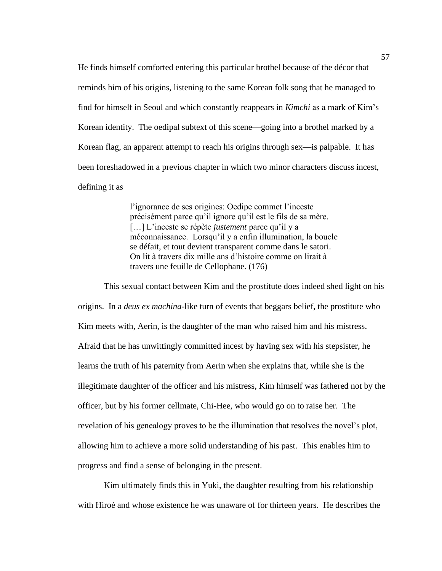He finds himself comforted entering this particular brothel because of the décor that reminds him of his origins, listening to the same Korean folk song that he managed to find for himself in Seoul and which constantly reappears in *Kimchi* as a mark of Kim's Korean identity. The oedipal subtext of this scene—going into a brothel marked by a Korean flag, an apparent attempt to reach his origins through sex—is palpable. It has been foreshadowed in a previous chapter in which two minor characters discuss incest, defining it as

> l'ignorance de ses origines: Oedipe commet l'inceste précisément parce qu'il ignore qu'il est le fils de sa mère. […] L'inceste se répète *justement* parce qu'il y a méconnaissance. Lorsqu'il y a enfin illumination, la boucle se défait, et tout devient transparent comme dans le satori. On lit à travers dix mille ans d'histoire comme on lirait à travers une feuille de Cellophane. (176)

This sexual contact between Kim and the prostitute does indeed shed light on his origins. In a *deus ex machina*-like turn of events that beggars belief, the prostitute who Kim meets with, Aerin, is the daughter of the man who raised him and his mistress. Afraid that he has unwittingly committed incest by having sex with his stepsister, he learns the truth of his paternity from Aerin when she explains that, while she is the illegitimate daughter of the officer and his mistress, Kim himself was fathered not by the officer, but by his former cellmate, Chi-Hee, who would go on to raise her. The revelation of his genealogy proves to be the illumination that resolves the novel's plot, allowing him to achieve a more solid understanding of his past. This enables him to progress and find a sense of belonging in the present.

Kim ultimately finds this in Yuki, the daughter resulting from his relationship with Hiroé and whose existence he was unaware of for thirteen years. He describes the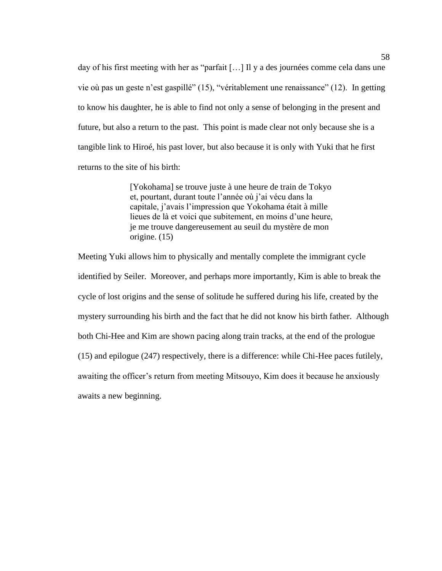day of his first meeting with her as "parfait […] Il y a des journées comme cela dans une vie où pas un geste n'est gaspillé" (15), "véritablement une renaissance" (12). In getting to know his daughter, he is able to find not only a sense of belonging in the present and future, but also a return to the past. This point is made clear not only because she is a tangible link to Hiroé, his past lover, but also because it is only with Yuki that he first returns to the site of his birth:

> [Yokohama] se trouve juste à une heure de train de Tokyo et, pourtant, durant toute l'année où j'ai vécu dans la capitale, j'avais l'impression que Yokohama était à mille lieues de là et voici que subitement, en moins d'une heure, je me trouve dangereusement au seuil du mystère de mon origine. (15)

Meeting Yuki allows him to physically and mentally complete the immigrant cycle identified by Seiler. Moreover, and perhaps more importantly, Kim is able to break the cycle of lost origins and the sense of solitude he suffered during his life, created by the mystery surrounding his birth and the fact that he did not know his birth father. Although both Chi-Hee and Kim are shown pacing along train tracks, at the end of the prologue (15) and epilogue (247) respectively, there is a difference: while Chi-Hee paces futilely, awaiting the officer's return from meeting Mitsouyo, Kim does it because he anxiously awaits a new beginning.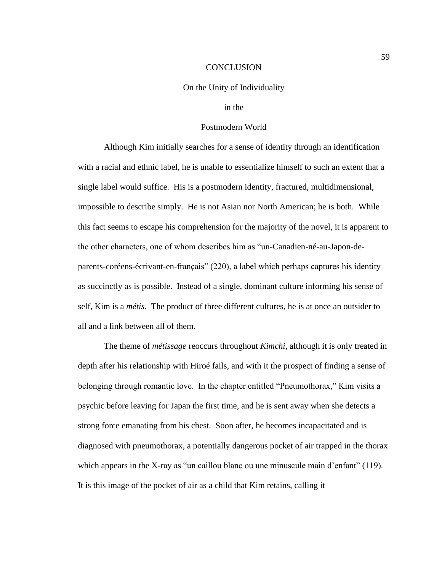## **CONCLUSION**

# On the Unity of Individuality

# in the

# Postmodern World

Although Kim initially searches for a sense of identity through an identification with a racial and ethnic label, he is unable to essentialize himself to such an extent that a single label would suffice. His is a postmodern identity, fractured, multidimensional, impossible to describe simply. He is not Asian nor North American; he is both. While this fact seems to escape his comprehension for the majority of the novel, it is apparent to the other characters, one of whom describes him as "un-Canadien-né-au-Japon-deparents-coréens-écrivant-en-français" (220), a label which perhaps captures his identity as succinctly as is possible. Instead of a single, dominant culture informing his sense of self, Kim is a *métis*. The product of three different cultures, he is at once an outsider to all and a link between all of them.

The theme of *métissage* reoccurs throughout *Kimchi*, although it is only treated in depth after his relationship with Hiroé fails, and with it the prospect of finding a sense of belonging through romantic love. In the chapter entitled "Pneumothorax," Kim visits a psychic before leaving for Japan the first time, and he is sent away when she detects a strong force emanating from his chest. Soon after, he becomes incapacitated and is diagnosed with pneumothorax, a potentially dangerous pocket of air trapped in the thorax which appears in the X-ray as "un caillou blanc ou une minuscule main d'enfant" (119). It is this image of the pocket of air as a child that Kim retains, calling it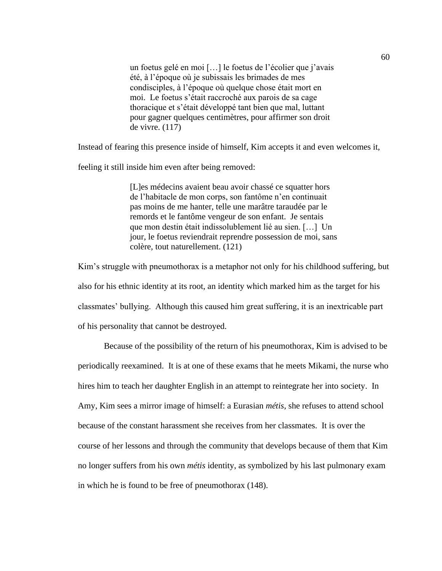un foetus gelé en moi […] le foetus de l'écolier que j'avais été, à l'époque où je subissais les brimades de mes condisciples, à l'époque où quelque chose était mort en moi. Le foetus s'était raccroché aux parois de sa cage thoracique et s'était développé tant bien que mal, luttant pour gagner quelques centimètres, pour affirmer son droit de vivre. (117)

Instead of fearing this presence inside of himself, Kim accepts it and even welcomes it,

feeling it still inside him even after being removed:

[L]es médecins avaient beau avoir chassé ce squatter hors de l'habitacle de mon corps, son fantôme n'en continuait pas moins de me hanter, telle une marâtre taraudée par le remords et le fantôme vengeur de son enfant. Je sentais que mon destin était indissolublement lié au sien. […] Un jour, le foetus reviendrait reprendre possession de moi, sans colère, tout naturellement. (121)

Kim's struggle with pneumothorax is a metaphor not only for his childhood suffering, but also for his ethnic identity at its root, an identity which marked him as the target for his classmates' bullying. Although this caused him great suffering, it is an inextricable part of his personality that cannot be destroyed.

Because of the possibility of the return of his pneumothorax, Kim is advised to be periodically reexamined. It is at one of these exams that he meets Mikami, the nurse who hires him to teach her daughter English in an attempt to reintegrate her into society. In Amy, Kim sees a mirror image of himself: a Eurasian *métis*, she refuses to attend school because of the constant harassment she receives from her classmates. It is over the course of her lessons and through the community that develops because of them that Kim no longer suffers from his own *métis* identity, as symbolized by his last pulmonary exam in which he is found to be free of pneumothorax (148).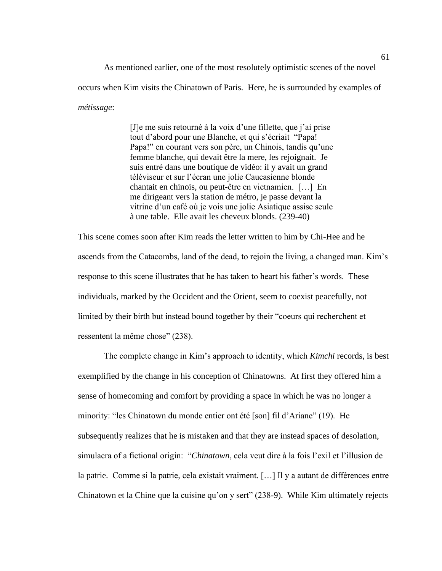As mentioned earlier, one of the most resolutely optimistic scenes of the novel occurs when Kim visits the Chinatown of Paris. Here, he is surrounded by examples of *métissage*:

> [J]e me suis retourné à la voix d'une fillette, que j'ai prise tout d'abord pour une Blanche, et qui s'écriait "Papa! Papa!" en courant vers son père, un Chinois, tandis qu'une femme blanche, qui devait être la mere, les rejoignait. Je suis entré dans une boutique de vidéo: il y avait un grand téléviseur et sur l'écran une jolie Caucasienne blonde chantait en chinois, ou peut-être en vietnamien. […] En me dirigeant vers la station de métro, je passe devant la vitrine d'un café où je vois une jolie Asiatique assise seule à une table. Elle avait les cheveux blonds. (239-40)

This scene comes soon after Kim reads the letter written to him by Chi-Hee and he ascends from the Catacombs, land of the dead, to rejoin the living, a changed man. Kim's response to this scene illustrates that he has taken to heart his father's words. These individuals, marked by the Occident and the Orient, seem to coexist peacefully, not limited by their birth but instead bound together by their "coeurs qui recherchent et ressentent la même chose" (238).

The complete change in Kim's approach to identity, which *Kimchi* records, is best exemplified by the change in his conception of Chinatowns. At first they offered him a sense of homecoming and comfort by providing a space in which he was no longer a minority: "les Chinatown du monde entier ont été [son] fil d'Ariane" (19). He subsequently realizes that he is mistaken and that they are instead spaces of desolation, simulacra of a fictional origin: "*Chinatown*, cela veut dire à la fois l'exil et l'illusion de la patrie. Comme si la patrie, cela existait vraiment. [...] Il y a autant de différences entre Chinatown et la Chine que la cuisine qu'on y sert" (238-9). While Kim ultimately rejects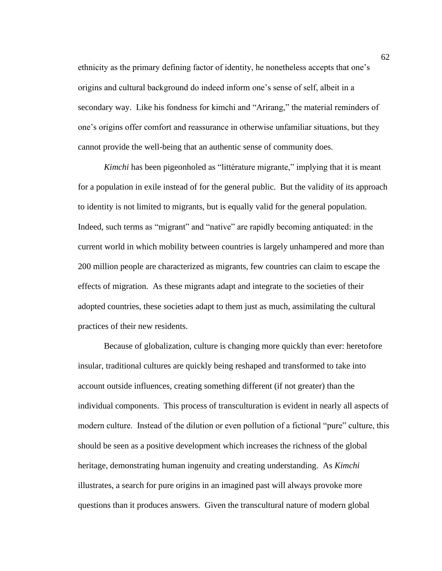ethnicity as the primary defining factor of identity, he nonetheless accepts that one's origins and cultural background do indeed inform one's sense of self, albeit in a secondary way. Like his fondness for kimchi and "Arirang," the material reminders of one's origins offer comfort and reassurance in otherwise unfamiliar situations, but they cannot provide the well-being that an authentic sense of community does.

*Kimchi* has been pigeonholed as "littérature migrante," implying that it is meant for a population in exile instead of for the general public. But the validity of its approach to identity is not limited to migrants, but is equally valid for the general population. Indeed, such terms as "migrant" and "native" are rapidly becoming antiquated: in the current world in which mobility between countries is largely unhampered and more than 200 million people are characterized as migrants, few countries can claim to escape the effects of migration. As these migrants adapt and integrate to the societies of their adopted countries, these societies adapt to them just as much, assimilating the cultural practices of their new residents.

Because of globalization, culture is changing more quickly than ever: heretofore insular, traditional cultures are quickly being reshaped and transformed to take into account outside influences, creating something different (if not greater) than the individual components. This process of transculturation is evident in nearly all aspects of modern culture. Instead of the dilution or even pollution of a fictional "pure" culture, this should be seen as a positive development which increases the richness of the global heritage, demonstrating human ingenuity and creating understanding. As *Kimchi* illustrates, a search for pure origins in an imagined past will always provoke more questions than it produces answers. Given the transcultural nature of modern global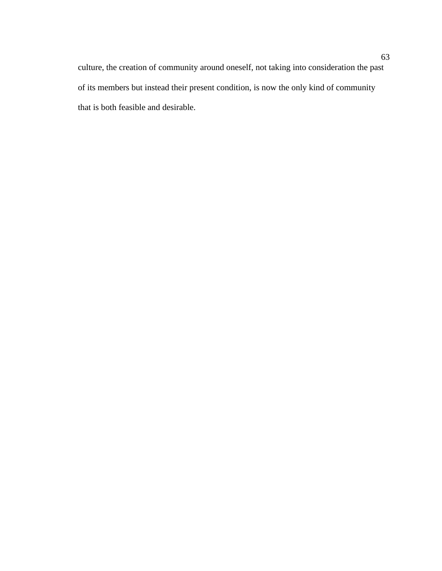culture, the creation of community around oneself, not taking into consideration the past of its members but instead their present condition, is now the only kind of community that is both feasible and desirable.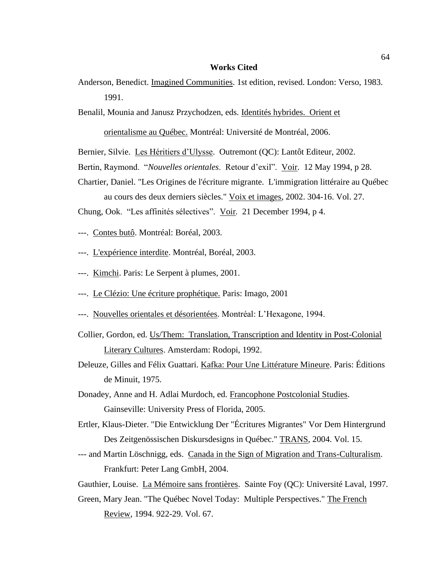# **Works Cited**

Anderson, Benedict. Imagined Communities. 1st edition, revised. London: Verso, 1983. 1991.

Benalil, Mounia and Janusz Przychodzen, eds. Identités hybrides. Orient et

orientalisme au Québec. Montréal: Université de Montréal, 2006.

Bernier, Silvie. Les Héritiers d'Ulysse. Outremont (QC): Lantôt Editeur, 2002.

- Bertin, Raymond. "*Nouvelles orientales*. Retour d'exil". Voir. 12 May 1994, p 28.
- Chartier, Daniel. "Les Origines de l'écriture migrante. L'immigration littéraire au Québec au cours des deux derniers siècles." Voix et images, 2002. 304-16. Vol. 27.

Chung, Ook. "Les affinités sélectives". Voir*.* 21 December 1994, p 4.

- ---. Contes butô. Montréal: Boréal, 2003.
- ---. L'expérience interdite. Montréal, Boréal, 2003.
- ---. Kimchi. Paris: Le Serpent à plumes, 2001.
- ---. Le Clézio: Une écriture prophétique. Paris: Imago, 2001
- ---. Nouvelles orientales et désorientées. Montréal: L'Hexagone, 1994.
- Collier, Gordon, ed. Us/Them: Translation, Transcription and Identity in Post-Colonial Literary Cultures. Amsterdam: Rodopi, 1992.
- Deleuze, Gilles and Félix Guattari. Kafka: Pour Une Littérature Mineure. Paris: Éditions de Minuit, 1975.
- Donadey, Anne and H. Adlai Murdoch, ed. Francophone Postcolonial Studies. Gainseville: University Press of Florida, 2005.
- Ertler, Klaus-Dieter. "Die Entwicklung Der "Écritures Migrantes" Vor Dem Hintergrund Des Zeitgenössischen Diskursdesigns in Québec." TRANS, 2004. Vol. 15.
- --- and Martin Löschnigg, eds. Canada in the Sign of Migration and Trans-Culturalism. Frankfurt: Peter Lang GmbH, 2004.

Gauthier, Louise. La Mémoire sans frontières. Sainte Foy (QC): Université Laval, 1997.

Green, Mary Jean. "The Québec Novel Today: Multiple Perspectives." The French Review, 1994. 922-29. Vol. 67.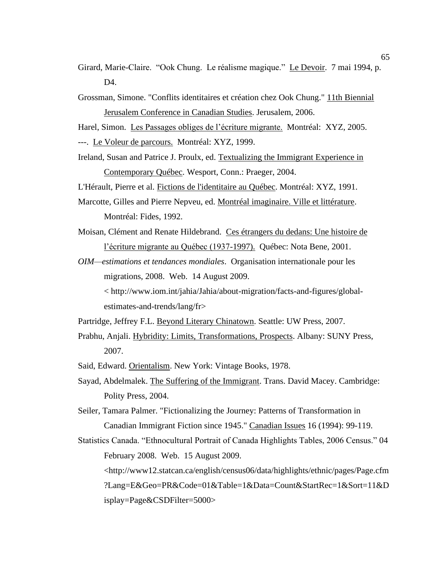- Girard, Marie-Claire. "Ook Chung. Le réalisme magique." Le Devoir. 7 mai 1994, p. D4.
- Grossman, Simone. "Conflits identitaires et création chez Ook Chung." 11th Biennial Jerusalem Conference in Canadian Studies. Jerusalem, 2006.

Harel, Simon. Les Passages obliges de l'écriture migrante. Montréal: XYZ, 2005. ---. Le Voleur de parcours. Montréal: XYZ, 1999.

Ireland, Susan and Patrice J. Proulx, ed. Textualizing the Immigrant Experience in Contemporary Québec. Wesport, Conn.: Praeger, 2004.

L'Hérault, Pierre et al. Fictions de l'identitaire au Québec. Montréal: XYZ, 1991.

Marcotte, Gilles and Pierre Nepveu, ed. Montréal imaginaire. Ville et littérature. Montréal: Fides, 1992.

Moisan, Clément and Renate Hildebrand. Ces étrangers du dedans: Une histoire de l'écriture migrante au Québec (1937-1997). Québec: Nota Bene, 2001.

*OIM—estimations et tendances mondiales*. Organisation internationale pour les migrations, 2008. Web. 14 August 2009.

< http://www.iom.int/jahia/Jahia/about-migration/facts-and-figures/globalestimates-and-trends/lang/fr>

Partridge, Jeffrey F.L. Beyond Literary Chinatown. Seattle: UW Press, 2007.

- Prabhu, Anjali. Hybridity: Limits, Transformations, Prospects. Albany: SUNY Press, 2007.
- Said, Edward. Orientalism. New York: Vintage Books, 1978.
- Sayad, Abdelmalek. The Suffering of the Immigrant. Trans. David Macey. Cambridge: Polity Press, 2004.

Seiler, Tamara Palmer. "Fictionalizing the Journey: Patterns of Transformation in Canadian Immigrant Fiction since 1945." Canadian Issues 16 (1994): 99-119.

Statistics Canada. "Ethnocultural Portrait of Canada Highlights Tables, 2006 Census." 04 February 2008. Web. 15 August 2009. <http://www12.statcan.ca/english/census06/data/highlights/ethnic/pages/Page.cfm ?Lang=E&Geo=PR&Code=01&Table=1&Data=Count&StartRec=1&Sort=11&D isplay=Page&CSDFilter=5000>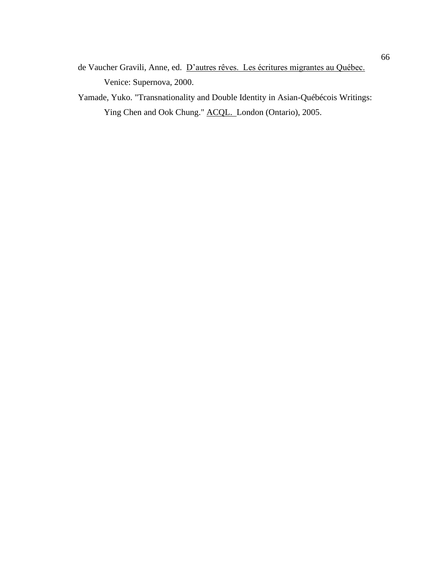- de Vaucher Gravili, Anne, ed. D'autres rêves. Les écritures migrantes au Québec. Venice: Supernova, 2000.
- Yamade, Yuko. "Transnationality and Double Identity in Asian-Québécois Writings: Ying Chen and Ook Chung." ACQL. London (Ontario), 2005.